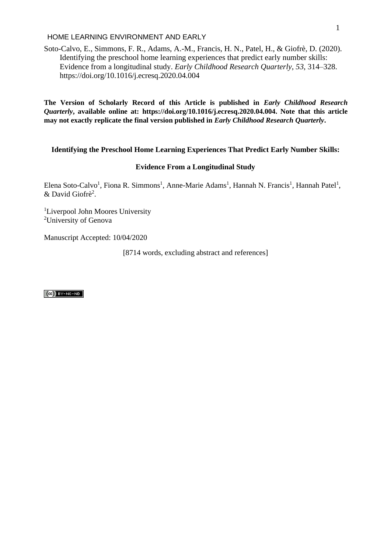Soto-Calvo, E., Simmons, F. R., Adams, A.-M., Francis, H. N., Patel, H., & Giofrè, D. (2020). Identifying the preschool home learning experiences that predict early number skills: Evidence from a longitudinal study. *Early Childhood Research Quarterly*, *53*, 314–328. https://doi.org/10.1016/j.ecresq.2020.04.004

**The Version of Scholarly Record of this Article is published in** *Early Childhood Research Quarterly***, available online at: https://doi.org/10.1016/j.ecresq.2020.04.004. Note that this article may not exactly replicate the final version published in** *Early Childhood Research Quarterly***.** 

# **Identifying the Preschool Home Learning Experiences That Predict Early Number Skills:**

# **Evidence From a Longitudinal Study**

Elena Soto-Calvo<sup>1</sup>, Fiona R. Simmons<sup>1</sup>, Anne-Marie Adams<sup>1</sup>, Hannah N. Francis<sup>1</sup>, Hannah Patel<sup>1</sup>, & David Giofrè<sup>2</sup>.

<sup>1</sup>Liverpool John Moores University <sup>2</sup>University of Genova

Manuscript Accepted: 10/04/2020

[8714 words, excluding abstract and references]

 $(Cc)$  BY-NC-ND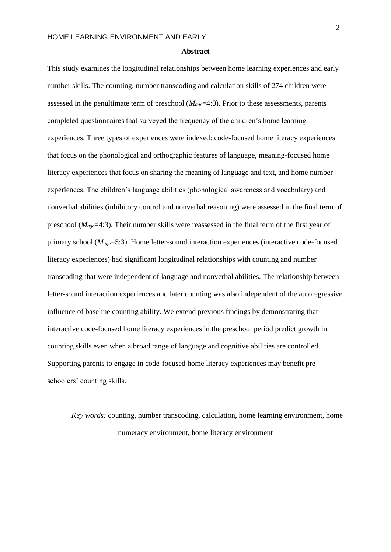#### **Abstract**

This study examines the longitudinal relationships between home learning experiences and early number skills. The counting, number transcoding and calculation skills of 274 children were assessed in the penultimate term of preschool (*Mage*=4:0). Prior to these assessments, parents completed questionnaires that surveyed the frequency of the children's home learning experiences. Three types of experiences were indexed: code-focused home literacy experiences that focus on the phonological and orthographic features of language, meaning-focused home literacy experiences that focus on sharing the meaning of language and text, and home number experiences. The children's language abilities (phonological awareness and vocabulary) and nonverbal abilities (inhibitory control and nonverbal reasoning) were assessed in the final term of preschool (*Mage*=4:3). Their number skills were reassessed in the final term of the first year of primary school (*Mage*=5:3). Home letter-sound interaction experiences (interactive code-focused literacy experiences) had significant longitudinal relationships with counting and number transcoding that were independent of language and nonverbal abilities. The relationship between letter-sound interaction experiences and later counting was also independent of the autoregressive influence of baseline counting ability. We extend previous findings by demonstrating that interactive code-focused home literacy experiences in the preschool period predict growth in counting skills even when a broad range of language and cognitive abilities are controlled. Supporting parents to engage in code-focused home literacy experiences may benefit preschoolers' counting skills.

*Key words:* counting, number transcoding, calculation, home learning environment, home numeracy environment, home literacy environment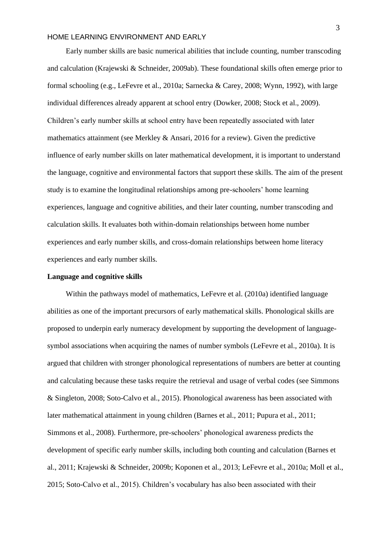$\mathbf{F}$ 

Early number skills are basic numerical abilities that include counting, number transcoding and calculation (Krajewski & Schneider, 2009ab). These foundational skills often emerge prior to formal schooling (e.g., LeFevre et al., 2010a; Sarnecka & Carey, 2008; Wynn, 1992), with large individual differences already apparent at school entry (Dowker, 2008; Stock et al., 2009). Children's early number skills at school entry have been repeatedly associated with later mathematics attainment (see Merkley & Ansari, 2016 for a review). Given the predictive influence of early number skills on later mathematical development, it is important to understand the language, cognitive and environmental factors that support these skills. The aim of the present study is to examine the longitudinal relationships among pre-schoolers' home learning experiences, language and cognitive abilities, and their later counting, number transcoding and calculation skills. It evaluates both within-domain relationships between home number experiences and early number skills, and cross-domain relationships between home literacy experiences and early number skills.

# **Language and cognitive skills**

Within the pathways model of mathematics, LeFevre et al. (2010a) identified language abilities as one of the important precursors of early mathematical skills. Phonological skills are proposed to underpin early numeracy development by supporting the development of languagesymbol associations when acquiring the names of number symbols (LeFevre et al., 2010a). It is argued that children with stronger phonological representations of numbers are better at counting and calculating because these tasks require the retrieval and usage of verbal codes (see Simmons & Singleton, 2008; Soto-Calvo et al., 2015). Phonological awareness has been associated with later mathematical attainment in young children (Barnes et al., 2011; Pupura et al., 2011; Simmons et al., 2008). Furthermore, pre-schoolers' phonological awareness predicts the development of specific early number skills, including both counting and calculation (Barnes et al., 2011; Krajewski & Schneider, 2009b; Koponen et al., 2013; LeFevre et al., 2010a; Moll et al., 2015; Soto-Calvo et al., 2015). Children's vocabulary has also been associated with their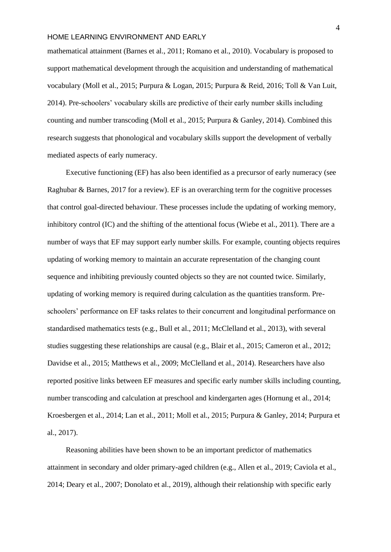number skills in der Konstantinopolis in der Konstantinopolis in der Konstantinopolis in der Konstantinopolis<br>Number skills in der Konstantinopolis in der Konstantinopolis in der Konstantinopolis in der Konstantinopolis<br>Nu mathematical attainment (Barnes et al., 2011; Romano et al., 2010). Vocabulary is proposed to support mathematical development through the acquisition and understanding of mathematical vocabulary (Moll et al., 2015; Purpura & Logan, 2015; Purpura & Reid, 2016; Toll & Van Luit, 2014). Pre-schoolers' vocabulary skills are predictive of their early number skills including counting and number transcoding (Moll et al., 2015; Purpura & Ganley, 2014). Combined this research suggests that phonological and vocabulary skills support the development of verbally mediated aspects of early numeracy.

Executive functioning (EF) has also been identified as a precursor of early numeracy (see Raghubar & Barnes, 2017 for a review). EF is an overarching term for the cognitive processes that control goal-directed behaviour. These processes include the updating of working memory, inhibitory control (IC) and the shifting of the attentional focus (Wiebe et al., 2011). There are a number of ways that EF may support early number skills. For example, counting objects requires updating of working memory to maintain an accurate representation of the changing count sequence and inhibiting previously counted objects so they are not counted twice. Similarly, updating of working memory is required during calculation as the quantities transform. Preschoolers' performance on EF tasks relates to their concurrent and longitudinal performance on standardised mathematics tests (e.g., Bull et al., 2011; McClelland et al., 2013), with several studies suggesting these relationships are causal (e.g., Blair et al., 2015; Cameron et al., 2012; Davidse et al., 2015; Matthews et al., 2009; McClelland et al., 2014). Researchers have also reported positive links between EF measures and specific early number skills including counting, number transcoding and calculation at preschool and kindergarten ages (Hornung et al., 2014; Kroesbergen et al., 2014; Lan et al., 2011; Moll et al., 2015; Purpura & Ganley, 2014; Purpura et al., 2017).

Reasoning abilities have been shown to be an important predictor of mathematics attainment in secondary and older primary-aged children (e.g., Allen et al., 2019; Caviola et al., 2014; Deary et al., 2007; Donolato et al., 2019), although their relationship with specific early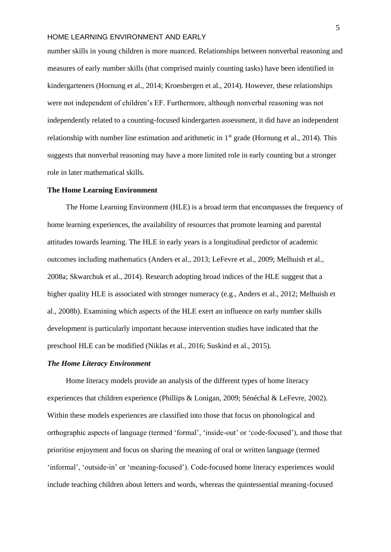$\mathbf{A} = \mathbf{A} \mathbf{B} \mathbf{B}$ number skills in young children is more nuanced. Relationships between nonverbal reasoning and measures of early number skills (that comprised mainly counting tasks) have been identified in kindergarteners (Hornung et al., 2014; Kroesbergen et al., 2014). However, these relationships were not independent of children's EF. Furthermore, although nonverbal reasoning was not independently related to a counting-focused kindergarten assessment, it did have an independent relationship with number line estimation and arithmetic in  $1<sup>st</sup>$  grade (Hornung et al., 2014). This suggests that nonverbal reasoning may have a more limited role in early counting but a stronger role in later mathematical skills.

# **The Home Learning Environment**

The Home Learning Environment (HLE) is a broad term that encompasses the frequency of home learning experiences, the availability of resources that promote learning and parental attitudes towards learning. The HLE in early years is a longitudinal predictor of academic outcomes including mathematics (Anders et al., 2013; LeFevre et al., 2009; Melhuish et al., 2008a; Skwarchuk et al., 2014). Research adopting broad indices of the HLE suggest that a higher quality HLE is associated with stronger numeracy (e.g., Anders et al., 2012; Melhuish et al., 2008b). Examining which aspects of the HLE exert an influence on early number skills development is particularly important because intervention studies have indicated that the preschool HLE can be modified (Niklas et al., 2016; Suskind et al., 2015).

### *The Home Literacy Environment*

Home literacy models provide an analysis of the different types of home literacy experiences that children experience (Phillips & Lonigan, 2009; Sénéchal & LeFevre, 2002). Within these models experiences are classified into those that focus on phonological and orthographic aspects of language (termed 'formal', 'inside-out' or 'code-focused'), and those that prioritise enjoyment and focus on sharing the meaning of oral or written language (termed 'informal', 'outside-in' or 'meaning-focused'). Code-focused home literacy experiences would include teaching children about letters and words, whereas the quintessential meaning-focused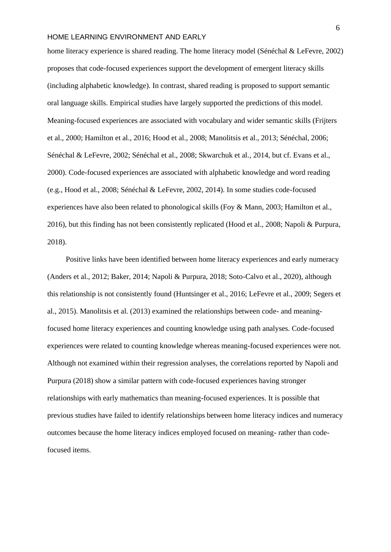number Skills (1989)<br>Number Skills (1989)<br>Number Skills (1989)

home literacy experience is shared reading. The home literacy model (Sénéchal & LeFevre, 2002) proposes that code-focused experiences support the development of emergent literacy skills (including alphabetic knowledge). In contrast, shared reading is proposed to support semantic oral language skills. Empirical studies have largely supported the predictions of this model. Meaning-focused experiences are associated with vocabulary and wider semantic skills (Frijters et al., 2000; Hamilton et al., 2016; Hood et al., 2008; Manolitsis et al., 2013; Sénéchal, 2006; Sénéchal & LeFevre, 2002; Sénéchal et al., 2008; Skwarchuk et al., 2014, but cf. Evans et al., 2000). Code-focused experiences are associated with alphabetic knowledge and word reading (e.g., Hood et al., 2008; Sénéchal & LeFevre, 2002, 2014). In some studies code-focused experiences have also been related to phonological skills (Foy & Mann, 2003; Hamilton et al., 2016), but this finding has not been consistently replicated (Hood et al., 2008; Napoli & Purpura, 2018).

Positive links have been identified between home literacy experiences and early numeracy (Anders et al., 2012; Baker, 2014; Napoli & Purpura, 2018; Soto-Calvo et al., 2020), although this relationship is not consistently found (Huntsinger et al., 2016; LeFevre et al., 2009; Segers et al., 2015). Manolitsis et al. (2013) examined the relationships between code- and meaningfocused home literacy experiences and counting knowledge using path analyses. Code-focused experiences were related to counting knowledge whereas meaning-focused experiences were not. Although not examined within their regression analyses, the correlations reported by Napoli and Purpura (2018) show a similar pattern with code-focused experiences having stronger relationships with early mathematics than meaning-focused experiences. It is possible that previous studies have failed to identify relationships between home literacy indices and numeracy outcomes because the home literacy indices employed focused on meaning- rather than codefocused items.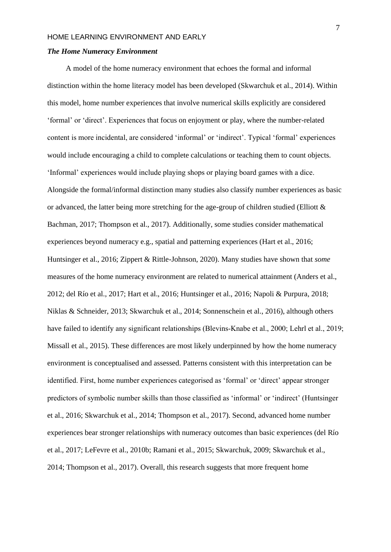#### $\mathbb{R}$   $\mathbb{R}$   $\mathbb{R}$   $\mathbb{R}$   $\mathbb{R}$   $\mathbb{R}$   $\mathbb{R}$   $\mathbb{R}$   $\mathbb{R}$   $\mathbb{R}$   $\mathbb{R}$   $\mathbb{R}$   $\mathbb{R}$   $\mathbb{R}$   $\mathbb{R}$   $\mathbb{R}$   $\mathbb{R}$   $\mathbb{R}$   $\mathbb{R}$   $\mathbb{R}$   $\mathbb{R}$   $\mathbb{R}$   $\mathbb{R}$   $\mathbb{R}$   $\mathbb{$ *The Home Numeracy Environment*

A model of the home numeracy environment that echoes the formal and informal distinction within the home literacy model has been developed (Skwarchuk et al., 2014). Within this model, home number experiences that involve numerical skills explicitly are considered 'formal' or 'direct'. Experiences that focus on enjoyment or play, where the number-related content is more incidental, are considered 'informal' or 'indirect'. Typical 'formal' experiences would include encouraging a child to complete calculations or teaching them to count objects. 'Informal' experiences would include playing shops or playing board games with a dice. Alongside the formal/informal distinction many studies also classify number experiences as basic or advanced, the latter being more stretching for the age-group of children studied (Elliott  $\&$ Bachman, 2017; Thompson et al., 2017). Additionally, some studies consider mathematical experiences beyond numeracy e.g., spatial and patterning experiences (Hart et al., 2016; Huntsinger et al., 2016; Zippert & Rittle-Johnson, 2020). Many studies have shown that *some*  measures of the home numeracy environment are related to numerical attainment (Anders et al., 2012; del Río et al., 2017; Hart et al., 2016; Huntsinger et al., 2016; Napoli & Purpura, 2018; Niklas & Schneider, 2013; Skwarchuk et al., 2014; Sonnenschein et al., 2016), although others have failed to identify any significant relationships (Blevins-Knabe et al., 2000; Lehrl et al., 2019; Missall et al., 2015). These differences are most likely underpinned by how the home numeracy environment is conceptualised and assessed. Patterns consistent with this interpretation can be identified. First, home number experiences categorised as 'formal' or 'direct' appear stronger predictors of symbolic number skills than those classified as 'informal' or 'indirect' (Huntsinger et al., 2016; Skwarchuk et al., 2014; Thompson et al., 2017). Second, advanced home number experiences bear stronger relationships with numeracy outcomes than basic experiences (del Río et al., 2017; LeFevre et al., 2010b; Ramani et al., 2015; Skwarchuk, 2009; Skwarchuk et al., 2014; Thompson et al., 2017). Overall, this research suggests that more frequent home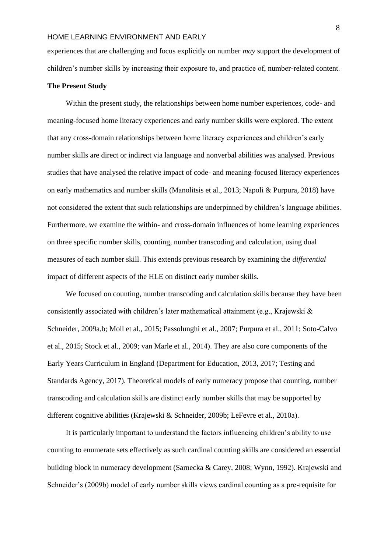NUMBER SKILLS experiences that are challenging and focus explicitly on number *may* support the development of children's number skills by increasing their exposure to, and practice of, number-related content.

### **The Present Study**

Within the present study, the relationships between home number experiences, code- and meaning-focused home literacy experiences and early number skills were explored. The extent that any cross-domain relationships between home literacy experiences and children's early number skills are direct or indirect via language and nonverbal abilities was analysed. Previous studies that have analysed the relative impact of code- and meaning-focused literacy experiences on early mathematics and number skills (Manolitsis et al., 2013; Napoli & Purpura, 2018) have not considered the extent that such relationships are underpinned by children's language abilities. Furthermore, we examine the within- and cross-domain influences of home learning experiences on three specific number skills, counting, number transcoding and calculation, using dual measures of each number skill. This extends previous research by examining the *differential*  impact of different aspects of the HLE on distinct early number skills.

We focused on counting, number transcoding and calculation skills because they have been consistently associated with children's later mathematical attainment (e.g., Krajewski & Schneider, 2009a,b; Moll et al., 2015; Passolunghi et al., 2007; Purpura et al., 2011; Soto-Calvo et al., 2015; Stock et al., 2009; van Marle et al., 2014). They are also core components of the Early Years Curriculum in England (Department for Education, 2013, 2017; Testing and Standards Agency, 2017). Theoretical models of early numeracy propose that counting, number transcoding and calculation skills are distinct early number skills that may be supported by different cognitive abilities (Krajewski & Schneider, 2009b; LeFevre et al., 2010a).

It is particularly important to understand the factors influencing children's ability to use counting to enumerate sets effectively as such cardinal counting skills are considered an essential building block in numeracy development (Sarnecka & Carey, 2008; Wynn, 1992). Krajewski and Schneider's (2009b) model of early number skills views cardinal counting as a pre-requisite for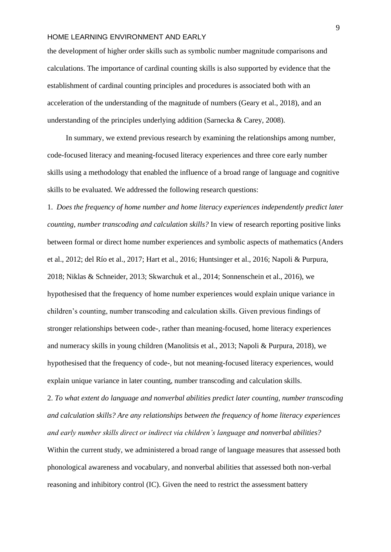$\mathbf{A}$   $\mathbf{A}$   $\mathbf{A}$   $\mathbf{A}$   $\mathbf{A}$ the development of higher order skills such as symbolic number magnitude comparisons and calculations. The importance of cardinal counting skills is also supported by evidence that the establishment of cardinal counting principles and procedures is associated both with an acceleration of the understanding of the magnitude of numbers (Geary et al., 2018), and an understanding of the principles underlying addition (Sarnecka & Carey, 2008).

In summary, we extend previous research by examining the relationships among number, code-focused literacy and meaning-focused literacy experiences and three core early number skills using a methodology that enabled the influence of a broad range of language and cognitive skills to be evaluated. We addressed the following research questions:

1. *Does the frequency of home number and home literacy experiences independently predict later counting, number transcoding and calculation skills?* In view of research reporting positive links between formal or direct home number experiences and symbolic aspects of mathematics (Anders et al., 2012; del Río et al., 2017; Hart et al., 2016; Huntsinger et al., 2016; Napoli & Purpura, 2018; Niklas & Schneider, 2013; Skwarchuk et al., 2014; Sonnenschein et al., 2016), we hypothesised that the frequency of home number experiences would explain unique variance in children's counting, number transcoding and calculation skills. Given previous findings of stronger relationships between code-, rather than meaning-focused, home literacy experiences and numeracy skills in young children (Manolitsis et al., 2013; Napoli & Purpura, 2018), we hypothesised that the frequency of code-, but not meaning-focused literacy experiences, would explain unique variance in later counting, number transcoding and calculation skills.

2. *To what extent do language and nonverbal abilities predict later counting, number transcoding and calculation skills? Are any relationships between the frequency of home literacy experiences and early number skills direct or indirect via children's language and nonverbal abilities?* 

Within the current study, we administered a broad range of language measures that assessed both phonological awareness and vocabulary, and nonverbal abilities that assessed both non-verbal reasoning and inhibitory control (IC). Given the need to restrict the assessment battery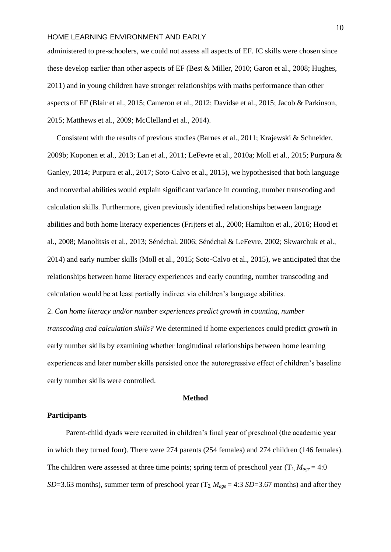NUMBER SKILLS administered to pre-schoolers, we could not assess all aspects of EF. IC skills were chosen since these develop earlier than other aspects of EF (Best & Miller, 2010; Garon et al., 2008; Hughes, 2011) and in young children have stronger relationships with maths performance than other aspects of EF (Blair et al., 2015; Cameron et al., 2012; Davidse et al., 2015; Jacob & Parkinson, 2015; Matthews et al., 2009; McClelland et al., 2014).

Consistent with the results of previous studies (Barnes et al., 2011; Krajewski & Schneider, 2009b; Koponen et al., 2013; Lan et al., 2011; LeFevre et al., 2010a; Moll et al., 2015; Purpura & Ganley, 2014; Purpura et al., 2017; Soto-Calvo et al., 2015), we hypothesised that both language and nonverbal abilities would explain significant variance in counting, number transcoding and calculation skills. Furthermore, given previously identified relationships between language abilities and both home literacy experiences (Frijters et al., 2000; Hamilton et al., 2016; Hood et al., 2008; Manolitsis et al., 2013; Sénéchal, 2006; Sénéchal & LeFevre, 2002; Skwarchuk et al., 2014) and early number skills (Moll et al., 2015; Soto-Calvo et al., 2015), we anticipated that the relationships between home literacy experiences and early counting, number transcoding and calculation would be at least partially indirect via children's language abilities.

2. *Can home literacy and/or number experiences predict growth in counting, number transcoding and calculation skills?* We determined if home experiences could predict *growth* in early number skills by examining whether longitudinal relationships between home learning experiences and later number skills persisted once the autoregressive effect of children's baseline early number skills were controlled.

# **Method**

# **Participants**

Parent-child dyads were recruited in children's final year of preschool (the academic year in which they turned four). There were 274 parents (254 females) and 274 children (146 females). The children were assessed at three time points; spring term of preschool year  $(T_1, M_{age} = 4:0)$ *SD*=3.63 months), summer term of preschool year  $(T_2, M_{age} = 4:3 SD=3.67$  months) and after they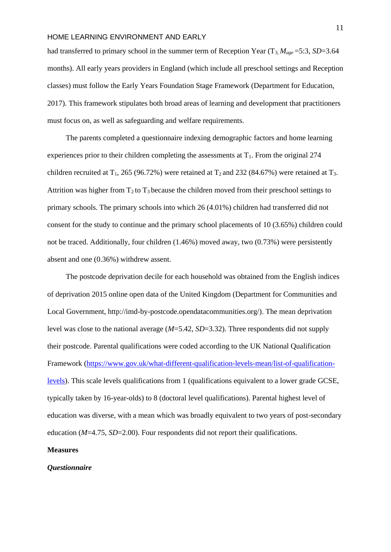NUMBER SKILLS had transferred to primary school in the summer term of Reception Year (T<sub>3,</sub>  $M_{age} = 5:3$ , *SD*=3.64 months). All early years providers in England (which include all preschool settings and Reception classes) must follow the Early Years Foundation Stage Framework (Department for Education, 2017). This framework stipulates both broad areas of learning and development that practitioners must focus on, as well as safeguarding and welfare requirements.

The parents completed a questionnaire indexing demographic factors and home learning experiences prior to their children completing the assessments at  $T_1$ . From the original 274 children recruited at  $T_1$ , 265 (96.72%) were retained at  $T_2$  and 232 (84.67%) were retained at  $T_3$ . Attrition was higher from  $T_2$  to  $T_3$  because the children moved from their preschool settings to primary schools. The primary schools into which 26 (4.01%) children had transferred did not consent for the study to continue and the primary school placements of 10 (3.65%) children could not be traced. Additionally, four children (1.46%) moved away, two (0.73%) were persistently absent and one (0.36%) withdrew assent.

The postcode deprivation decile for each household was obtained from the [English indices](http://imd-by-postcode.opendatacommunities.org/) [of deprivation 2015 o](http://imd-by-postcode.opendatacommunities.org/)nline open data of the United Kingdom (Department for Communities and Local Government, [http://imd-by-postcode.opendatacommunities.org/\)](http://imd-by-postcode.opendatacommunities.org/). The mean deprivation level was close to the national average (*M*=5.42, *SD*=3.32). Three respondents did not supply their postcode. Parental qualifications were coded according to the UK National Qualification Framework [\(https://www.gov.uk/what-different-qualification-levels-mean/list-of-qualification](https://www.gov.uk/what-different-qualification-levels-mean/list-of-qualification-levels)[levels\)](https://www.gov.uk/what-different-qualification-levels-mean/list-of-qualification-levels). This scale levels qualifications from 1 (qualifications equivalent to a lower grade GCSE, typically taken by 16-year-olds) to 8 (doctoral level qualifications). Parental highest level of education was diverse, with a mean which was broadly equivalent to two years of post-secondary education (*M*=4.75, *SD*=2.00). Four respondents did not report their qualifications.

# **Measures**

### *Questionnaire*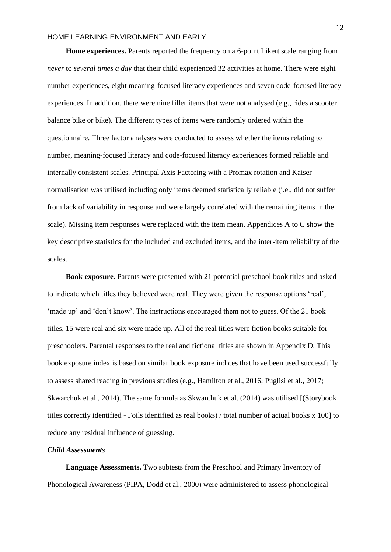NUMBER SKILLS

**Home experiences.** Parents reported the frequency on a 6-point Likert scale ranging from *never* to *several times a day* that their child experienced 32 activities at home. There were eight number experiences, eight meaning-focused literacy experiences and seven code-focused literacy experiences. In addition, there were nine filler items that were not analysed (e.g., rides a scooter, balance bike or bike). The different types of items were randomly ordered within the questionnaire. Three factor analyses were conducted to assess whether the items relating to number, meaning-focused literacy and code-focused literacy experiences formed reliable and internally consistent scales. Principal Axis Factoring with a Promax rotation and Kaiser normalisation was utilised including only items deemed statistically reliable (i.e., did not suffer from lack of variability in response and were largely correlated with the remaining items in the scale). Missing item responses were replaced with the item mean. Appendices A to C show the key descriptive statistics for the included and excluded items, and the inter-item reliability of the scales.

**Book exposure.** Parents were presented with 21 potential preschool book titles and asked to indicate which titles they believed were real. They were given the response options 'real', 'made up' and 'don't know'. The instructions encouraged them not to guess. Of the 21 book titles, 15 were real and six were made up. All of the real titles were fiction books suitable for preschoolers. Parental responses to the real and fictional titles are shown in Appendix D. This book exposure index is based on similar book exposure indices that have been used successfully to assess shared reading in previous studies (e.g., Hamilton et al., 2016; Puglisi et al., 2017; Skwarchuk et al., 2014). The same formula as Skwarchuk et al. (2014) was utilised [(Storybook titles correctly identified - Foils identified as real books) / total number of actual books x 100] to reduce any residual influence of guessing.

# *Child Assessments*

**Language Assessments.** Two subtests from the Preschool and Primary Inventory of Phonological Awareness (PIPA, Dodd et al., 2000) were administered to assess phonological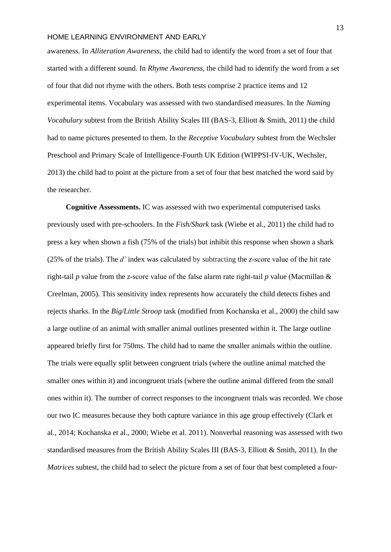$\mathbf{Y} \neq \mathbf{W}$ awareness. In *Alliteration Awareness,* the child had to identify the word from a set of four that started with a different sound. In *Rhyme Awareness,* the child had to identify the word from a set of four that did not rhyme with the others. Both tests comprise 2 practice items and 12 experimental items. Vocabulary was assessed with two standardised measures. In the *Naming Vocabulary* subtest from the British Ability Scales III (BAS-3, Elliott & Smith, 2011) the child had to name pictures presented to them. In the *Receptive Vocabulary* subtest from the Wechsler Preschool and Primary Scale of Intelligence-Fourth UK Edition (WIPPSI-IV-UK, Wechsler, 2013) the child had to point at the picture from a set of four that best matched the word said by the researcher.

**Cognitive Assessments.** IC was assessed with two experimental computerised tasks previously used with pre-schoolers. In the *Fish/Shark* task (Wiebe et al., 2011) the child had to press a key when shown a fish (75% of the trials) but inhibit this response when shown a shark (25% of the trials). The *d'* index was calculated by subtracting the *z*‐score value of the hit rate right-tail *p* value from the *z*-score value of the false alarm rate right‐tail *p* value (Macmillan & Creelman, 2005). This sensitivity index represents how accurately the child detects fishes and rejects sharks. In the *Big/Little Stroop* task (modified from Kochanska et al., 2000) the child saw a large outline of an animal with smaller animal outlines presented within it. The large outline appeared briefly first for 750ms. The child had to name the smaller animals within the outline. The trials were equally split between congruent trials (where the outline animal matched the smaller ones within it) and incongruent trials (where the outline animal differed from the small ones within it). The number of correct responses to the incongruent trials was recorded. We chose our two IC measures because they both capture variance in this age group effectively (Clark et al., 2014; Kochanska et al., 2000; Wiebe et al. 2011). Nonverbal reasoning was assessed with two standardised measures from the British Ability Scales III (BAS-3, Elliott & Smith, 2011). In the *Matrices* subtest, the child had to select the picture from a set of four that best completed a four-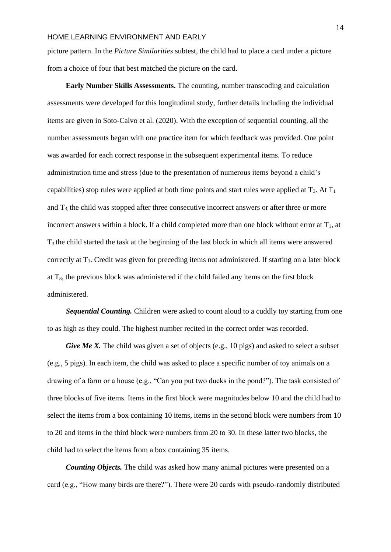NUMBER SKILLS picture pattern. In the *Picture Similarities* subtest, the child had to place a card under a picture from a choice of four that best matched the picture on the card.

**Early Number Skills Assessments.** The counting, number transcoding and calculation assessments were developed for this longitudinal study, further details including the individual items are given in Soto-Calvo et al. (2020). With the exception of sequential counting, all the number assessments began with one practice item for which feedback was provided. One point was awarded for each correct response in the subsequent experimental items. To reduce administration time and stress (due to the presentation of numerous items beyond a child's capabilities) stop rules were applied at both time points and start rules were applied at  $T_3$ . At  $T_1$ and  $T_3$ , the child was stopped after three consecutive incorrect answers or after three or more incorrect answers within a block. If a child completed more than one block without error at  $T_1$ , at T3 the child started the task at the beginning of the last block in which all items were answered correctly at T1. Credit was given for preceding items not administered. If starting on a later block at  $T_3$ , the previous block was administered if the child failed any items on the first block administered.

*Sequential Counting.* Children were asked to count aloud to a cuddly toy starting from one to as high as they could. The highest number recited in the correct order was recorded.

*Give Me X.* The child was given a set of objects (e.g., 10 pigs) and asked to select a subset (e.g., 5 pigs). In each item, the child was asked to place a specific number of toy animals on a drawing of a farm or a house (e.g., "Can you put two ducks in the pond?"). The task consisted of three blocks of five items. Items in the first block were magnitudes below 10 and the child had to select the items from a box containing 10 items, items in the second block were numbers from 10 to 20 and items in the third block were numbers from 20 to 30. In these latter two blocks, the child had to select the items from a box containing 35 items.

*Counting Objects.* The child was asked how many animal pictures were presented on a card (e.g., "How many birds are there?"). There were 20 cards with pseudo-randomly distributed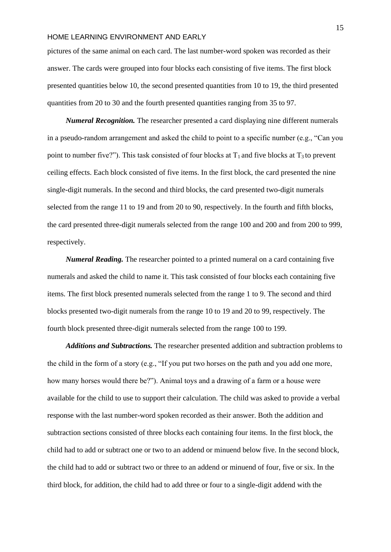$\mathcal{L}$   $\mathcal{L}$ pictures of the same animal on each card. The last number-word spoken was recorded as their answer. The cards were grouped into four blocks each consisting of five items. The first block presented quantities below 10, the second presented quantities from 10 to 19, the third presented quantities from 20 to 30 and the fourth presented quantities ranging from 35 to 97.

*Numeral Recognition.* The researcher presented a card displaying nine different numerals in a pseudo-random arrangement and asked the child to point to a specific number (e.g., "Can you point to number five?"). This task consisted of four blocks at  $T_1$  and five blocks at  $T_3$  to prevent ceiling effects. Each block consisted of five items. In the first block, the card presented the nine single-digit numerals. In the second and third blocks, the card presented two-digit numerals selected from the range 11 to 19 and from 20 to 90, respectively. In the fourth and fifth blocks, the card presented three-digit numerals selected from the range 100 and 200 and from 200 to 999, respectively.

*Numeral Reading.* The researcher pointed to a printed numeral on a card containing five numerals and asked the child to name it. This task consisted of four blocks each containing five items. The first block presented numerals selected from the range 1 to 9. The second and third blocks presented two-digit numerals from the range 10 to 19 and 20 to 99, respectively. The fourth block presented three-digit numerals selected from the range 100 to 199.

*Additions and Subtractions.* The researcher presented addition and subtraction problems to the child in the form of a story (e.g., "If you put two horses on the path and you add one more, how many horses would there be?"). Animal toys and a drawing of a farm or a house were available for the child to use to support their calculation. The child was asked to provide a verbal response with the last number-word spoken recorded as their answer. Both the addition and subtraction sections consisted of three blocks each containing four items. In the first block, the child had to add or subtract one or two to an addend or minuend below five. In the second block, the child had to add or subtract two or three to an addend or minuend of four, five or six. In the third block, for addition, the child had to add three or four to a single-digit addend with the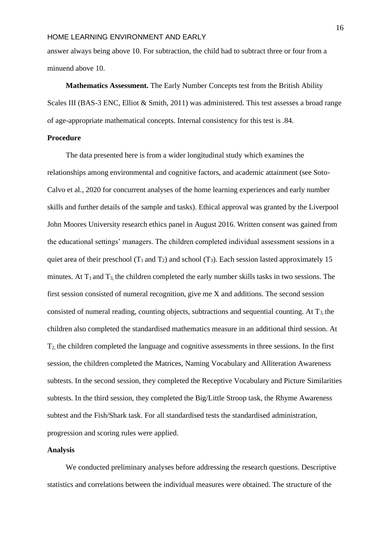number skills and den beste beste beste beste beste beste beste beste beste beste beste beste beste beste bes<br>De beste beste beste beste beste beste beste beste beste beste beste beste beste beste beste beste beste beste answer always being above 10. For subtraction, the child had to subtract three or four from a minuend above 10.

**Mathematics Assessment.** The Early Number Concepts test from the British Ability Scales III (BAS-3 ENC, Elliot & Smith, 2011) was administered. This test assesses a broad range of age-appropriate mathematical concepts. Internal consistency for this test is .84.

# **Procedure**

The data presented here is from a wider longitudinal study which examines the relationships among environmental and cognitive factors, and academic attainment (see Soto-Calvo et al., 2020 for concurrent analyses of the home learning experiences and early number skills and further details of the sample and tasks). Ethical approval was granted by the Liverpool John Moores University research ethics panel in August 2016. Written consent was gained from the educational settings' managers. The children completed individual assessment sessions in a quiet area of their preschool ( $T_1$  and  $T_2$ ) and school ( $T_3$ ). Each session lasted approximately 15 minutes. At  $T_1$  and  $T_3$ , the children completed the early number skills tasks in two sessions. The first session consisted of numeral recognition, give me X and additions. The second session consisted of numeral reading, counting objects, subtractions and sequential counting. At  $T_3$  the children also completed the standardised mathematics measure in an additional third session. At T2, the children completed the language and cognitive assessments in three sessions. In the first session, the children completed the Matrices, Naming Vocabulary and Alliteration Awareness subtests. In the second session, they completed the Receptive Vocabulary and Picture Similarities subtests. In the third session, they completed the Big/Little Stroop task, the Rhyme Awareness subtest and the Fish/Shark task. For all standardised tests the standardised administration, progression and scoring rules were applied.

# **Analysis**

We conducted preliminary analyses before addressing the research questions. Descriptive statistics and correlations between the individual measures were obtained. The structure of the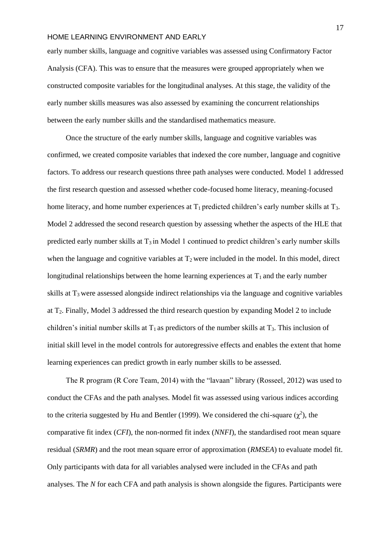number skills i den med andet skills om der skills om der skills om der skills om der skills om der skills om <br>Number skills om der skills om der skills om der skills om der skills om de skills om de skills om de skills o early number skills, language and cognitive variables was assessed using Confirmatory Factor Analysis (CFA). This was to ensure that the measures were grouped appropriately when we constructed composite variables for the longitudinal analyses. At this stage, the validity of the early number skills measures was also assessed by examining the concurrent relationships between the early number skills and the standardised mathematics measure.

Once the structure of the early number skills, language and cognitive variables was confirmed, we created composite variables that indexed the core number, language and cognitive factors. To address our research questions three path analyses were conducted. Model 1 addressed the first research question and assessed whether code-focused home literacy, meaning-focused home literacy, and home number experiences at  $T_1$  predicted children's early number skills at  $T_3$ . Model 2 addressed the second research question by assessing whether the aspects of the HLE that predicted early number skills at  $T_3$  in Model 1 continued to predict children's early number skills when the language and cognitive variables at  $T_2$  were included in the model. In this model, direct longitudinal relationships between the home learning experiences at  $T_1$  and the early number skills at T3 were assessed alongside indirect relationships via the language and cognitive variables at T2. Finally, Model 3 addressed the third research question by expanding Model 2 to include children's initial number skills at  $T_1$  as predictors of the number skills at  $T_3$ . This inclusion of initial skill level in the model controls for autoregressive effects and enables the extent that home learning experiences can predict growth in early number skills to be assessed.

The R program (R Core Team, 2014) with the "lavaan" library (Rosseel, 2012) was used to conduct the CFAs and the path analyses. Model fit was assessed using various indices according to the criteria suggested by Hu and Bentler (1999). We considered the chi-square  $(\chi^2)$ , the comparative fit index (*CFI*), the non-normed fit index (*NNFI*), the standardised root mean square residual (*SRMR*) and the root mean square error of approximation (*RMSEA*) to evaluate model fit. Only participants with data for all variables analysed were included in the CFAs and path analyses. The *N* for each CFA and path analysis is shown alongside the figures. Participants were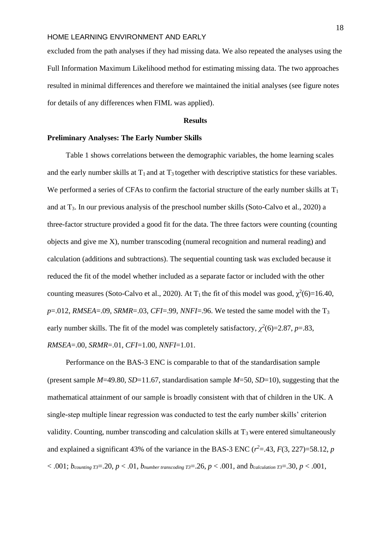$\mathbf{A}$   $\mathbf{B}$   $\mathbf{A}$   $\mathbf{B}$ excluded from the path analyses if they had missing data. We also repeated the analyses using the Full Information Maximum Likelihood method for estimating missing data. The two approaches resulted in minimal differences and therefore we maintained the initial analyses (see figure notes for details of any differences when FIML was applied).

### **Results**

#### **Preliminary Analyses: The Early Number Skills**

Table 1 shows correlations between the demographic variables, the home learning scales and the early number skills at  $T_1$  and at  $T_3$  together with descriptive statistics for these variables. We performed a series of CFAs to confirm the factorial structure of the early number skills at  $T_1$ and at  $T_3$ . In our previous analysis of the preschool number skills (Soto-Calvo et al., 2020) a three-factor structure provided a good fit for the data. The three factors were counting (counting objects and give me X), number transcoding (numeral recognition and numeral reading) and calculation (additions and subtractions). The sequential counting task was excluded because it reduced the fit of the model whether included as a separate factor or included with the other counting measures (Soto-Calvo et al., 2020). At T<sub>1</sub> the fit of this model was good,  $\chi^2(6)=16.40$ ,  $p=0.012$ , *RMSEA*=.09, *SRMR*=.03, *CFI*=.99, *NNFI*=.96. We tested the same model with the T<sub>3</sub> early number skills. The fit of the model was completely satisfactory,  $\chi^2(6)=2.87$ ,  $p=.83$ , *RMSEA*=.00, *SRMR*=.01, *CFI*=1.00, *NNFI*=1.01.

Performance on the BAS-3 ENC is comparable to that of the standardisation sample (present sample *M*=49.80, *SD*=11.67, standardisation sample *M*=50, *SD*=10), suggesting that the mathematical attainment of our sample is broadly consistent with that of children in the UK. A single-step multiple linear regression was conducted to test the early number skills' criterion validity. Counting, number transcoding and calculation skills at  $T_3$  were entered simultaneously and explained a significant 43% of the variance in the BAS-3 ENC  $(r^2 = .43, F(3, 227) = 58.12, p$  $\alpha$  < .001;  $b_{counting}$   $_{T3}$ =.20,  $p$  < .01*,*  $b_{number}$  transcoding  $_{T3}$ =.26,  $p$  < .001, and  $b_{calculation}$   $_{T3}$ =.30,  $p$  < .001*,*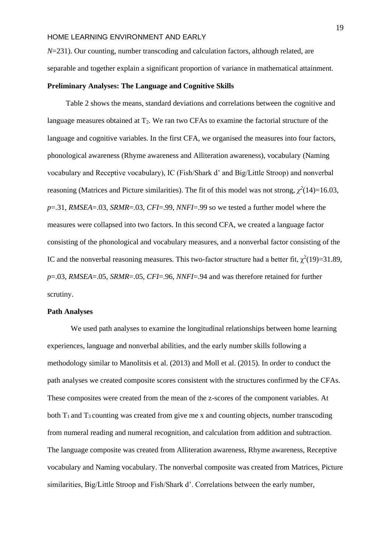$\mathbf{u}$  and  $\mathbf{v}$ 

*N*=231). Our counting, number transcoding and calculation factors, although related, are separable and together explain a significant proportion of variance in mathematical attainment.

### **Preliminary Analyses: The Language and Cognitive Skills**

Table 2 shows the means, standard deviations and correlations between the cognitive and language measures obtained at  $T_2$ . We ran two CFAs to examine the factorial structure of the language and cognitive variables. In the first CFA, we organised the measures into four factors, phonological awareness (Rhyme awareness and Alliteration awareness), vocabulary (Naming vocabulary and Receptive vocabulary), IC (Fish/Shark d' and Big/Little Stroop) and nonverbal reasoning (Matrices and Picture similarities). The fit of this model was not strong,  $\chi^2(14)=16.03$ , *p*=.31, *RMSEA*=.03, *SRMR*=.03, *CFI*=.99, *NNFI*=.99 so we tested a further model where the measures were collapsed into two factors. In this second CFA, we created a language factor consisting of the phonological and vocabulary measures, and a nonverbal factor consisting of the IC and the nonverbal reasoning measures. This two-factor structure had a better fit,  $\chi^2(19)=31.89$ , *p*=.03, *RMSEA*=.05, *SRMR*=.05, *CFI*=.96, *NNFI*=.94 and was therefore retained for further scrutiny.

### **Path Analyses**

We used path analyses to examine the longitudinal relationships between home learning experiences, language and nonverbal abilities, and the early number skills following a methodology similar to Manolitsis et al. (2013) and Moll et al. (2015). In order to conduct the path analyses we created composite scores consistent with the structures confirmed by the CFAs. These composites were created from the mean of the z-scores of the component variables. At both  $T_1$  and  $T_3$  counting was created from give me x and counting objects, number transcoding from numeral reading and numeral recognition, and calculation from addition and subtraction. The language composite was created from Alliteration awareness, Rhyme awareness, Receptive vocabulary and Naming vocabulary. The nonverbal composite was created from Matrices, Picture similarities, Big/Little Stroop and Fish/Shark d'. Correlations between the early number,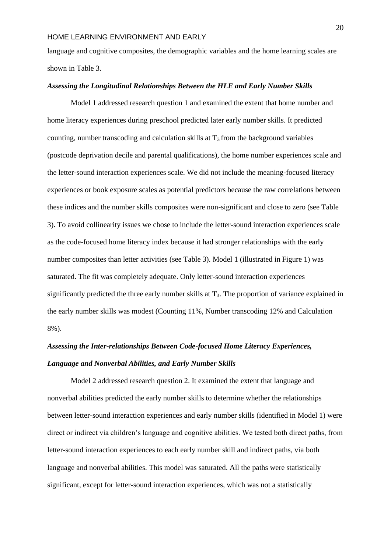NUMBER SKILLS language and cognitive composites, the demographic variables and the home learning scales are shown in Table 3.

### *Assessing the Longitudinal Relationships Between the HLE and Early Number Skills*

Model 1 addressed research question 1 and examined the extent that home number and home literacy experiences during preschool predicted later early number skills. It predicted counting, number transcoding and calculation skills at  $T_3$  from the background variables (postcode deprivation decile and parental qualifications), the home number experiences scale and the letter-sound interaction experiences scale. We did not include the meaning-focused literacy experiences or book exposure scales as potential predictors because the raw correlations between these indices and the number skills composites were non-significant and close to zero (see Table 3). To avoid collinearity issues we chose to include the letter-sound interaction experiences scale as the code-focused home literacy index because it had stronger relationships with the early number composites than letter activities (see Table 3). Model 1 (illustrated in Figure 1) was saturated. The fit was completely adequate. Only letter-sound interaction experiences significantly predicted the three early number skills at T<sub>3</sub>. The proportion of variance explained in the early number skills was modest (Counting 11%, Number transcoding 12% and Calculation 8%).

# *Assessing the Inter-relationships Between Code-focused Home Literacy Experiences, Language and Nonverbal Abilities, and Early Number Skills*

Model 2 addressed research question 2. It examined the extent that language and nonverbal abilities predicted the early number skills to determine whether the relationships between letter-sound interaction experiences and early number skills (identified in Model 1) were direct or indirect via children's language and cognitive abilities. We tested both direct paths, from letter-sound interaction experiences to each early number skill and indirect paths, via both language and nonverbal abilities. This model was saturated. All the paths were statistically significant, except for letter-sound interaction experiences, which was not a statistically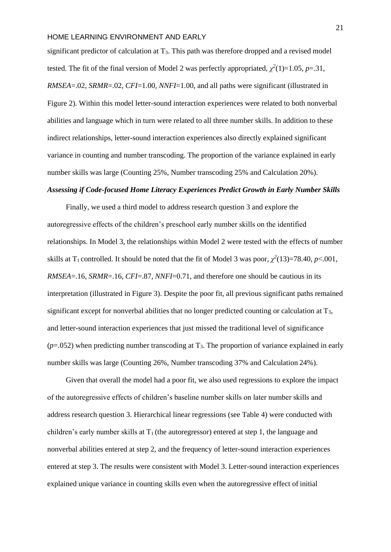$\ddot{\phantom{1}}$ 

significant predictor of calculation at  $T_3$ . This path was therefore dropped and a revised model tested. The fit of the final version of Model 2 was perfectly appropriated,  $\chi^2(1)=1.05$ ,  $p=.31$ , *RMSEA*=.02, *SRMR*=.02, *CFI*=1.00, *NNFI*=1.00, and all paths were significant (illustrated in Figure 2). Within this model letter-sound interaction experiences were related to both nonverbal abilities and language which in turn were related to all three number skills. In addition to these indirect relationships, letter-sound interaction experiences also directly explained significant variance in counting and number transcoding. The proportion of the variance explained in early number skills was large (Counting 25%, Number transcoding 25% and Calculation 20%).

# *Assessing if Code-focused Home Literacy Experiences Predict Growth in Early Number Skills*

Finally, we used a third model to address research question 3 and explore the autoregressive effects of the children's preschool early number skills on the identified relationships. In Model 3, the relationships within Model 2 were tested with the effects of number skills at T<sub>1</sub> controlled. It should be noted that the fit of Model 3 was poor,  $\chi^2(13)=78.40, p<.001,$ *RMSEA*=.16, *SRMR*=.16, *CFI*=.87, *NNFI*=0.71, and therefore one should be cautious in its interpretation (illustrated in Figure 3). Despite the poor fit, all previous significant paths remained significant except for nonverbal abilities that no longer predicted counting or calculation at T3, and letter-sound interaction experiences that just missed the traditional level of significance  $(p=0.052)$  when predicting number transcoding at T<sub>3</sub>. The proportion of variance explained in early number skills was large (Counting 26%, Number transcoding 37% and Calculation 24%).

Given that overall the model had a poor fit, we also used regressions to explore the impact of the autoregressive effects of children's baseline number skills on later number skills and address research question 3. Hierarchical linear regressions (see Table 4) were conducted with children's early number skills at  $T_1$  (the autoregressor) entered at step 1, the language and nonverbal abilities entered at step 2, and the frequency of letter-sound interaction experiences entered at step 3. The results were consistent with Model 3. Letter-sound interaction experiences explained unique variance in counting skills even when the autoregressive effect of initial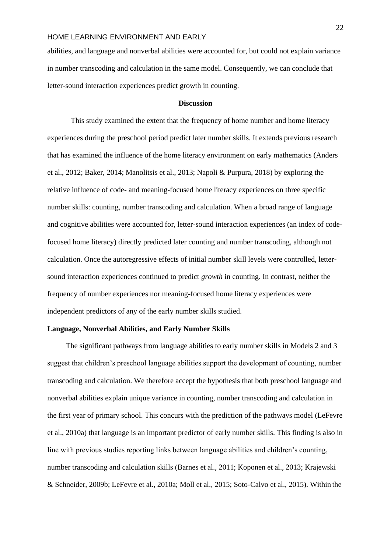$\mathbf{M}$ abilities, and language and nonverbal abilities were accounted for, but could not explain variance in number transcoding and calculation in the same model. Consequently, we can conclude that letter-sound interaction experiences predict growth in counting.

#### **Discussion**

This study examined the extent that the frequency of home number and home literacy experiences during the preschool period predict later number skills. It extends previous research that has examined the influence of the home literacy environment on early mathematics (Anders et al., 2012; Baker, 2014; Manolitsis et al., 2013; Napoli & Purpura, 2018) by exploring the relative influence of code- and meaning-focused home literacy experiences on three specific number skills: counting, number transcoding and calculation. When a broad range of language and cognitive abilities were accounted for, letter-sound interaction experiences (an index of codefocused home literacy) directly predicted later counting and number transcoding, although not calculation. Once the autoregressive effects of initial number skill levels were controlled, lettersound interaction experiences continued to predict *growth* in counting. In contrast, neither the frequency of number experiences nor meaning-focused home literacy experiences were independent predictors of any of the early number skills studied.

# **Language, Nonverbal Abilities, and Early Number Skills**

The significant pathways from language abilities to early number skills in Models 2 and 3 suggest that children's preschool language abilities support the development of counting, number transcoding and calculation. We therefore accept the hypothesis that both preschool language and nonverbal abilities explain unique variance in counting, number transcoding and calculation in the first year of primary school. This concurs with the prediction of the pathways model (LeFevre et al., 2010a) that language is an important predictor of early number skills. This finding is also in line with previous studies reporting links between language abilities and children's counting, number transcoding and calculation skills (Barnes et al., 2011; Koponen et al., 2013; Krajewski & Schneider, 2009b; LeFevre et al., 2010a; Moll et al., 2015; Soto-Calvo et al., 2015). Within the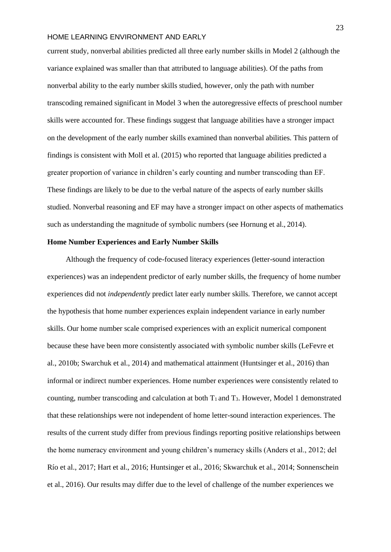NUMBER SKILLS current study, nonverbal abilities predicted all three early number skills in Model 2 (although the variance explained was smaller than that attributed to language abilities). Of the paths from nonverbal ability to the early number skills studied, however, only the path with number transcoding remained significant in Model 3 when the autoregressive effects of preschool number skills were accounted for. These findings suggest that language abilities have a stronger impact on the development of the early number skills examined than nonverbal abilities. This pattern of findings is consistent with Moll et al. (2015) who reported that language abilities predicted a greater proportion of variance in children's early counting and number transcoding than EF. These findings are likely to be due to the verbal nature of the aspects of early number skills studied. Nonverbal reasoning and EF may have a stronger impact on other aspects of mathematics such as understanding the magnitude of symbolic numbers (see Hornung et al., 2014).

# **Home Number Experiences and Early Number Skills**

Although the frequency of code-focused literacy experiences (letter-sound interaction experiences) was an independent predictor of early number skills, the frequency of home number experiences did not *independently* predict later early number skills. Therefore, we cannot accept the hypothesis that home number experiences explain independent variance in early number skills. Our home number scale comprised experiences with an explicit numerical component because these have been more consistently associated with symbolic number skills (LeFevre et al., 2010b; Swarchuk et al., 2014) and mathematical attainment (Huntsinger et al., 2016) than informal or indirect number experiences. Home number experiences were consistently related to counting, number transcoding and calculation at both  $T_1$  and  $T_3$ . However, Model 1 demonstrated that these relationships were not independent of home letter-sound interaction experiences. The results of the current study differ from previous findings reporting positive relationships between the home numeracy environment and young children's numeracy skills (Anders et al., 2012; del Río et al., 2017; Hart et al., 2016; Huntsinger et al., 2016; Skwarchuk et al., 2014; Sonnenschein et al., 2016). Our results may differ due to the level of challenge of the number experiences we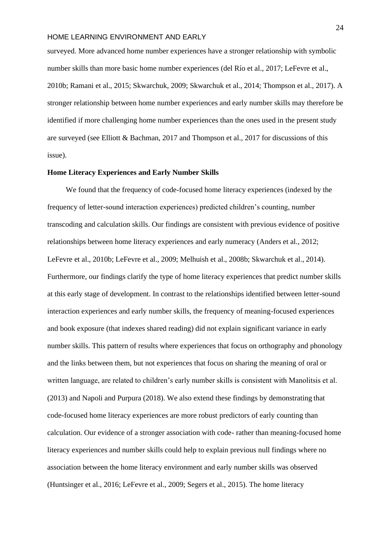$\frac{1}{2}$ surveyed. More advanced home number experiences have a stronger relationship with symbolic number skills than more basic home number experiences (del Río et al., 2017; LeFevre et al., 2010b; Ramani et al., 2015; Skwarchuk, 2009; Skwarchuk et al., 2014; Thompson et al., 2017). A stronger relationship between home number experiences and early number skills may therefore be identified if more challenging home number experiences than the ones used in the present study are surveyed (see Elliott & Bachman, 2017 and Thompson et al., 2017 for discussions of this issue).

#### **Home Literacy Experiences and Early Number Skills**

We found that the frequency of code-focused home literacy experiences (indexed by the frequency of letter-sound interaction experiences) predicted children's counting, number transcoding and calculation skills. Our findings are consistent with previous evidence of positive relationships between home literacy experiences and early numeracy (Anders et al., 2012; LeFevre et al., 2010b; LeFevre et al., 2009; Melhuish et al., 2008b; Skwarchuk et al., 2014). Furthermore, our findings clarify the type of home literacy experiences that predict number skills at this early stage of development. In contrast to the relationships identified between letter-sound interaction experiences and early number skills, the frequency of meaning-focused experiences and book exposure (that indexes shared reading) did not explain significant variance in early number skills. This pattern of results where experiences that focus on orthography and phonology and the links between them, but not experiences that focus on sharing the meaning of oral or written language, are related to children's early number skills is consistent with Manolitsis et al. (2013) and Napoli and Purpura (2018). We also extend these findings by demonstrating that code-focused home literacy experiences are more robust predictors of early counting than calculation. Our evidence of a stronger association with code- rather than meaning-focused home literacy experiences and number skills could help to explain previous null findings where no association between the home literacy environment and early number skills was observed (Huntsinger et al., 2016; LeFevre et al., 2009; Segers et al., 2015). The home literacy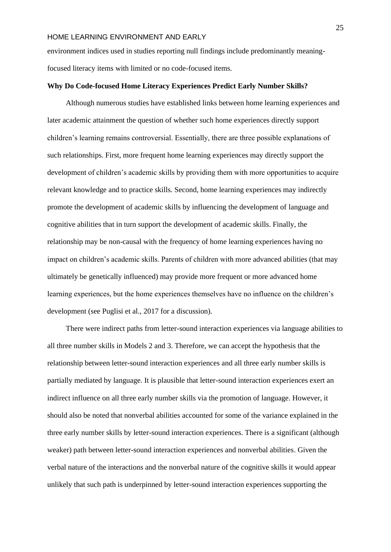NUMBER SKILLS environment indices used in studies reporting null findings include predominantly meaningfocused literacy items with limited or no code-focused items.

### **Why Do Code-focused Home Literacy Experiences Predict Early Number Skills?**

Although numerous studies have established links between home learning experiences and later academic attainment the question of whether such home experiences directly support children's learning remains controversial. Essentially, there are three possible explanations of such relationships. First, more frequent home learning experiences may directly support the development of children's academic skills by providing them with more opportunities to acquire relevant knowledge and to practice skills. Second, home learning experiences may indirectly promote the development of academic skills by influencing the development of language and cognitive abilities that in turn support the development of academic skills. Finally, the relationship may be non-causal with the frequency of home learning experiences having no impact on children's academic skills. Parents of children with more advanced abilities (that may ultimately be genetically influenced) may provide more frequent or more advanced home learning experiences, but the home experiences themselves have no influence on the children's development (see Puglisi et al., 2017 for a discussion).

There were indirect paths from letter-sound interaction experiences via language abilities to all three number skills in Models 2 and 3. Therefore, we can accept the hypothesis that the relationship between letter-sound interaction experiences and all three early number skills is partially mediated by language. It is plausible that letter-sound interaction experiences exert an indirect influence on all three early number skills via the promotion of language. However, it should also be noted that nonverbal abilities accounted for some of the variance explained in the three early number skills by letter-sound interaction experiences. There is a significant (although weaker) path between letter-sound interaction experiences and nonverbal abilities. Given the verbal nature of the interactions and the nonverbal nature of the cognitive skills it would appear unlikely that such path is underpinned by letter-sound interaction experiences supporting the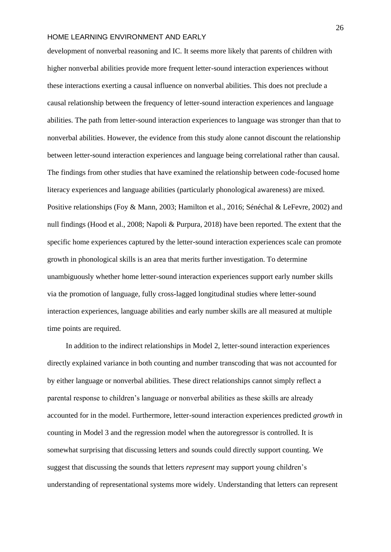$\mathbf{A}$ 

development of nonverbal reasoning and IC. It seems more likely that parents of children with higher nonverbal abilities provide more frequent letter-sound interaction experiences without these interactions exerting a causal influence on nonverbal abilities. This does not preclude a causal relationship between the frequency of letter-sound interaction experiences and language abilities. The path from letter-sound interaction experiences to language was stronger than that to nonverbal abilities. However, the evidence from this study alone cannot discount the relationship between letter-sound interaction experiences and language being correlational rather than causal. The findings from other studies that have examined the relationship between code-focused home literacy experiences and language abilities (particularly phonological awareness) are mixed. Positive relationships (Foy & Mann, 2003; Hamilton et al., 2016; Sénéchal & LeFevre, 2002) and null findings (Hood et al., 2008; Napoli & Purpura, 2018) have been reported. The extent that the specific home experiences captured by the letter-sound interaction experiences scale can promote growth in phonological skills is an area that merits further investigation. To determine unambiguously whether home letter-sound interaction experiences support early number skills via the promotion of language, fully cross-lagged longitudinal studies where letter-sound interaction experiences, language abilities and early number skills are all measured at multiple time points are required.

In addition to the indirect relationships in Model 2, letter-sound interaction experiences directly explained variance in both counting and number transcoding that was not accounted for by either language or nonverbal abilities. These direct relationships cannot simply reflect a parental response to children's language or nonverbal abilities as these skills are already accounted for in the model. Furthermore, letter-sound interaction experiences predicted *growth* in counting in Model 3 and the regression model when the autoregressor is controlled. It is somewhat surprising that discussing letters and sounds could directly support counting. We suggest that discussing the sounds that letters *represent* may support young children's understanding of representational systems more widely. Understanding that letters can represent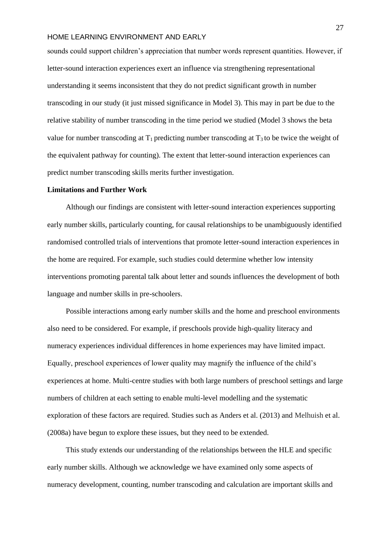NUMBER SKILLS SKILLS SKILLS SKILLS SKILLS SKILLS SKILLS SKILLS SKILLS SKILLS SKILLS SKILLS SKILLS SKILLS SKILL<br>NUMBER SKILLS SKILLS SKILLS SKILLS SKILLS SKILLS SKILLS SKILLS SKILLS SKILLS SKILLS SKILLS SKILLS SKILLS SKILL sounds could support children's appreciation that number words represent quantities. However, if letter-sound interaction experiences exert an influence via strengthening representational understanding it seems inconsistent that they do not predict significant growth in number transcoding in our study (it just missed significance in Model 3). This may in part be due to the relative stability of number transcoding in the time period we studied (Model 3 shows the beta value for number transcoding at  $T_1$  predicting number transcoding at  $T_3$  to be twice the weight of the equivalent pathway for counting). The extent that letter-sound interaction experiences can predict number transcoding skills merits further investigation.

# **Limitations and Further Work**

Although our findings are consistent with letter-sound interaction experiences supporting early number skills, particularly counting, for causal relationships to be unambiguously identified randomised controlled trials of interventions that promote letter-sound interaction experiences in the home are required. For example, such studies could determine whether low intensity interventions promoting parental talk about letter and sounds influences the development of both language and number skills in pre-schoolers.

Possible interactions among early number skills and the home and preschool environments also need to be considered. For example, if preschools provide high-quality literacy and numeracy experiences individual differences in home experiences may have limited impact. Equally, preschool experiences of lower quality may magnify the influence of the child's experiences at home. Multi-centre studies with both large numbers of preschool settings and large numbers of children at each setting to enable multi-level modelling and the systematic exploration of these factors are required. Studies such as Anders et al. (2013) and Melhuish et al. (2008a) have begun to explore these issues, but they need to be extended.

This study extends our understanding of the relationships between the HLE and specific early number skills. Although we acknowledge we have examined only some aspects of numeracy development, counting, number transcoding and calculation are important skills and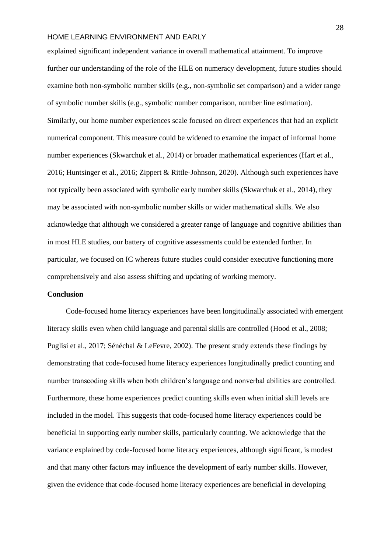$\mathbf{u}$   $\mathbf{v}$   $\mathbf{v}$   $\mathbf{v}$ 

explained significant independent variance in overall mathematical attainment. To improve further our understanding of the role of the HLE on numeracy development, future studies should examine both non-symbolic number skills (e.g., non-symbolic set comparison) and a wider range of symbolic number skills (e.g., symbolic number comparison, number line estimation). Similarly, our home number experiences scale focused on direct experiences that had an explicit numerical component. This measure could be widened to examine the impact of informal home number experiences (Skwarchuk et al., 2014) or broader mathematical experiences (Hart et al., 2016; Huntsinger et al., 2016; Zippert & Rittle-Johnson, 2020). Although such experiences have not typically been associated with symbolic early number skills (Skwarchuk et al., 2014), they may be associated with non-symbolic number skills or wider mathematical skills. We also acknowledge that although we considered a greater range of language and cognitive abilities than in most HLE studies, our battery of cognitive assessments could be extended further. In particular, we focused on IC whereas future studies could consider executive functioning more comprehensively and also assess shifting and updating of working memory.

### **Conclusion**

Code-focused home literacy experiences have been longitudinally associated with emergent literacy skills even when child language and parental skills are controlled (Hood et al., 2008; Puglisi et al., 2017; Sénéchal & LeFevre, 2002). The present study extends these findings by demonstrating that code-focused home literacy experiences longitudinally predict counting and number transcoding skills when both children's language and nonverbal abilities are controlled. Furthermore, these home experiences predict counting skills even when initial skill levels are included in the model. This suggests that code-focused home literacy experiences could be beneficial in supporting early number skills, particularly counting. We acknowledge that the variance explained by code-focused home literacy experiences, although significant, is modest and that many other factors may influence the development of early number skills. However, given the evidence that code-focused home literacy experiences are beneficial in developing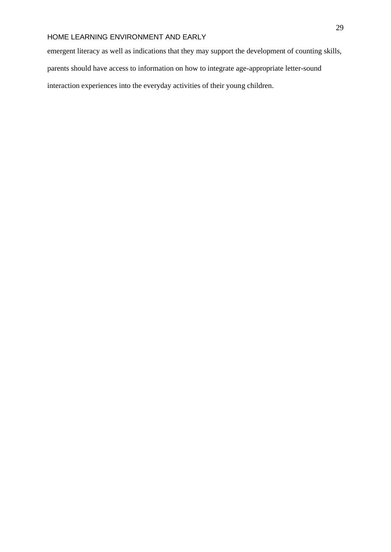NUMBER SKILLS<br>NUMBER SKILLS emergent literacy as well as indications that they may support the development of counting skills, parents should have access to information on how to integrate age-appropriate letter-sound interaction experiences into the everyday activities of their young children.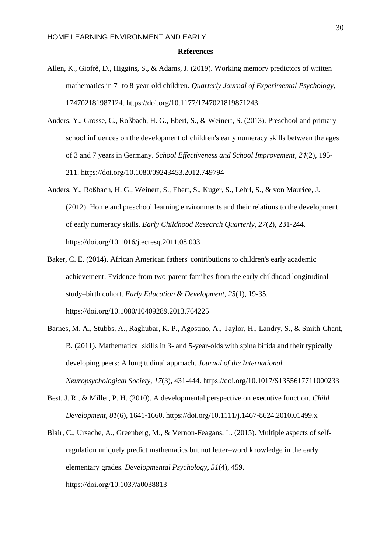#### **References**

- Allen, K., Giofrè, D., Higgins, S., & Adams, J. (2019). Working memory predictors of written mathematics in 7- to 8-year-old children. *Quarterly Journal of Experimental Psychology*, 174702181987124. [https://doi.org/10.1177/1747021819871243](https://doi.org/10.1177%2F1747021819871243)
- Anders, Y., Grosse, C., Roßbach, H. G., Ebert, S., & Weinert, S. (2013). Preschool and primary school influences on the development of children's early numeracy skills between the ages of 3 and 7 years in Germany. *School Effectiveness and School Improvement*, *24*(2), 195- 211. https://doi.org[/10.1080/09243453.2012.749794](https://doi.org/10.1080/09243453.2012.749794)
- Anders, Y., Roßbach, H. G., Weinert, S., Ebert, S., Kuger, S., Lehrl, S., & von Maurice, J. (2012). Home and preschool learning environments and their relations to the development of early numeracy skills. *Early Childhood Research Quarterly*, *27*(2), 231-244. https://doi.org[/10.1016/j.ecresq.2011.08.003](https://doi.org/10.1016/j.ecresq.2011.08.003)
- Baker, C. E. (2014). African American fathers' contributions to children's early academic achievement: Evidence from two-parent families from the early childhood longitudinal study–birth cohort. *Early Education & Development*, *25*(1), 19-35. https://doi.org[/10.1080/10409289.2013.764225](https://doi.org/10.1080/10409289.2013.764225)
- Barnes, M. A., Stubbs, A., Raghubar, K. P., Agostino, A., Taylor, H., Landry, S., & Smith-Chant, B. (2011). Mathematical skills in 3- and 5-year-olds with spina bifida and their typically developing peers: A longitudinal approach. *Journal of the International Neuropsychological Society*, *17*(3), 431-444. https://doi.org[/10.1017/S1355617711000233](https://doi.org/10.1017/S1355617711000233)
- Best, J. R., & Miller, P. H. (2010). A developmental perspective on executive function. *Child Development*, *81*(6), 1641-1660. https://doi.org[/10.1111/j.1467-8624.2010.01499.x](https://doi.org/10.1111/j.1467-8624.2010.01499.x)
- Blair, C., Ursache, A., Greenberg, M., & Vernon-Feagans, L. (2015). Multiple aspects of selfregulation uniquely predict mathematics but not letter–word knowledge in the early elementary grades. *Developmental Psychology*, *51*(4), 459. https://doi.org[/10.1037/a0038813](https://dx.doi.org/10.1037%2Fa0038813)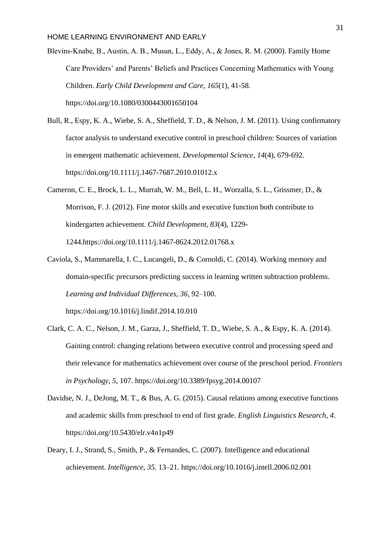- $\mathbf{D}$   $\mathbf{U}$   $\mathbf{V}$   $\mathbf{I}$   $\mathbf{D}$ Blevins‐Knabe, B., Austin, A. B., Musun, L., Eddy, A., & Jones, R. M. (2000). Family Home Care Providers' and Parents' Beliefs and Practices Concerning Mathematics with Young Children. *Early Child Development and Care*, *165*(1), 41-58. https://doi.org[/10.1080/0300443001650104](https://doi.org/10.1080/0300443001650104)
- Bull, R., Espy, K. A., Wiebe, S. A., Sheffield, T. D., & Nelson, J. M. (2011). Using confirmatory factor analysis to understand executive control in preschool children: Sources of variation in emergent mathematic achievement. *Developmental Science*, *14*(4), 679-692. https://doi.org[/10.1111/j.1467-7687.2010.01012.x](https://doi.org/10.1111/j.1467-7687.2010.01012.x)
- Cameron, C. E., Brock, L. L., Murrah, W. M., Bell, L. H., Worzalla, S. L., Grissmer, D., & Morrison, F. J. (2012). Fine motor skills and executive function both contribute to kindergarten achievement. *Child Development*, *83*(4), 1229- 1244.https://doi.org[/10.1111/j.1467-8624.2012.01768.x](https://doi.org/10.1111/j.1467-8624.2012.01768.x)
- Caviola, S., Mammarella, I. C., Lucangeli, D., & Cornoldi, C. (2014). Working memory and domain-specific precursors predicting success in learning written subtraction problems. *Learning and Individual Differences, 36,* 92–100. https://doi.org/10.1016/j.lindif.2014.10.010
- Clark, C. A. C., Nelson, J. M., Garza, J., Sheffield, T. D., Wiebe, S. A., & Espy, K. A. (2014). Gaining control: changing relations between executive control and processing speed and their relevance for mathematics achievement over course of the preschool period. *Frontiers in Psychology*, *5*, 107. https://doi.org[/10.3389/fpsyg.2014.00107](https://doi.org/10.3389/fpsyg.2014.00107)
- Davidse, N. J., DeJong, M. T., & Bus, A. G. (2015). Causal relations among executive functions and academic skills from preschool to end of first grade. *English Linguistics Research*, *4*. https://doi.org/10.5430/elr.v4n1p49
- Deary, I. J., Strand, S., Smith, P., & Fernandes, C. (2007). Intelligence and educational achievement. *Intelligence, 35*. 13–21. https://doi.org/10.1016/j.intell.2006.02.001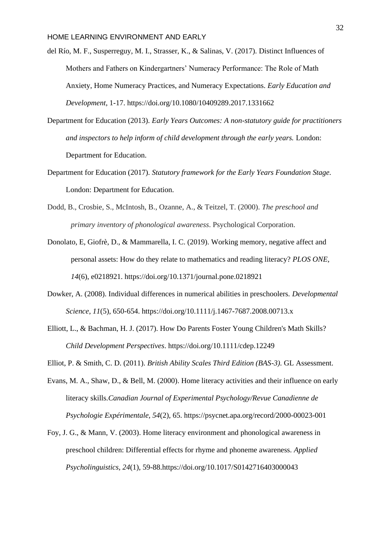- $\frac{1}{2}$ del Río, M. F., Susperreguy, M. I., Strasser, K., & Salinas, V. (2017). Distinct Influences of Mothers and Fathers on Kindergartners' Numeracy Performance: The Role of Math Anxiety, Home Numeracy Practices, and Numeracy Expectations. *Early Education and Development*, 1-17. https://doi.org[/10.1080/10409289.2017.1331662](https://doi.org/10.1080/10409289.2017.1331662)
- Department for Education (2013). *Early Years Outcomes: A non-statutory guide for practitioners and inspectors to help inform of child development through the early years.* London: Department for Education.
- Department for Education (2017). *Statutory framework for the Early Years Foundation Stage.* London: Department for Education.
- Dodd, B., Crosbie, S., McIntosh, B., Ozanne, A., & Teitzel, T. (2000). *The preschool and primary inventory of phonological awareness*. Psychological Corporation.
- Donolato, E, Giofrè, D., & Mammarella, I. C. (2019). Working memory, negative affect and personal assets: How do they relate to mathematics and reading literacy? *PLOS ONE, 14*(6), e0218921. https://doi.org/10.1371/journal.pone.0218921
- Dowker, A. (2008). Individual differences in numerical abilities in preschoolers. *Developmental Science*, *11*(5), 650-654. https://doi.org/10.1111/j.1467-7687.2008.00713.x
- Elliott, L., & Bachman, H. J. (2017). How Do Parents Foster Young Children's Math Skills? *Child Development Perspectives*. https://doi.org/10.1111/cdep.12249
- Elliot, P. & Smith, C. D. (2011). *British Ability Scales Third Edition (BAS-3).* GL Assessment.
- Evans, M. A., Shaw, D., & Bell, M. (2000). Home literacy activities and their influence on early literacy skills.*Canadian Journal of Experimental Psychology/Revue Canadienne de Psychologie Expérimentale, 54*(2), 65.<https://psycnet.apa.org/record/2000-00023-001>
- Foy, J. G., & Mann, V. (2003). Home literacy environment and phonological awareness in preschool children: Differential effects for rhyme and phoneme awareness. *Applied Psycholinguistics, 24*(1), [59-88.https://doi.org/10.1017/S0142716403000043](https://doi.org/10.1017/S0142716403000043)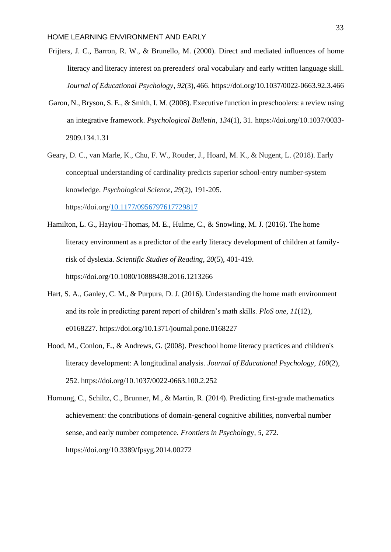- $\overline{N}$ Frijters, J. C., Barron, R. W., & Brunello, M. (2000). Direct and mediated influences of home literacy and literacy interest on prereaders' oral vocabulary and early written language skill. *Journal of Educational Psychology*, *92*(3), 466. https://doi.org[/10.1037/0022-0663.92.3.466](http://psycnet.apa.org/doi/10.1037/0022-0663.92.3.466)
- Garon, N., Bryson, S. E., & Smith, I. M. (2008). Executive function in preschoolers: a review using an integrative framework. *Psychological Bulletin*, *134*(1), 31. https://doi.org[/10.1037/0033-](https://psycnet.apa.org/doi/10.1037/0033-2909.134.1.31) [2909.134.1.31](https://psycnet.apa.org/doi/10.1037/0033-2909.134.1.31)
- Geary, D. C., van Marle, K., Chu, F. W., Rouder, J., Hoard, M. K., & Nugent, L. (2018). Early conceptual understanding of cardinality predicts superior school-entry number-system knowledge. *Psychological Science*, *29*(2), 191-205.

https://doi.org[/10.1177/0956797617729817](https://doi.org/10.1177%2F0956797617729817)

- Hamilton, L. G., Hayiou-Thomas, M. E., Hulme, C., & Snowling, M. J. (2016). The home literacy environment as a predictor of the early literacy development of children at familyrisk of dyslexia. *Scientific Studies of Reading*, *20*(5), 401-419. https://doi.org[/10.1080/10888438.2016.1213266](https://doi.org/10.1080/10888438.2016.1213266)
- Hart, S. A., Ganley, C. M., & Purpura, D. J. (2016). Understanding the home math environment and its role in predicting parent report of children's math skills. *PloS one*, *11*(12), e0168227. https://doi.org[/10.1371/journal.pone.0168227](https://doi.org/10.1371/journal.pone.0168227)
- Hood, M., Conlon, E., & Andrews, G. (2008). Preschool home literacy practices and children's literacy development: A longitudinal analysis. *Journal of Educational Psychology*, *100*(2), 252. https://doi.org/10.1037/0022-0663.100.2.252
- Hornung, C., Schiltz, C., Brunner, M., & Martin, R. (2014). Predicting first-grade mathematics achievement: the contributions of domain-general cognitive abilities, nonverbal number sense, and early number competence. *Frontiers in Psychol*ogy*, 5*, 272. https://doi.org/10.3389/fpsyg.2014.00272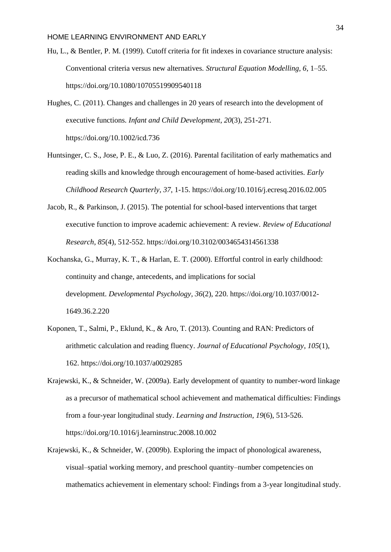- $\mathbf{u}$ ,  $\mathbf{v}$ ,  $\mathbf{v}$ ,  $\mathbf{v}$ Hu, L., & Bentler, P. M. (1999). Cutoff criteria for fit indexes in covariance structure analysis: Conventional criteria versus new alternatives. *Structural Equation Modelling, 6*, 1–55. https://doi.org/10.1080/10705519909540118
- Hughes, C. (2011). Changes and challenges in 20 years of research into the development of executive functions. *Infant and Child Development*, *20*(3), 251-271. https://doi.org[/10.1002/icd.736](https://doi.org/10.1002/icd.736)
- Huntsinger, C. S., Jose, P. E., & Luo, Z. (2016). Parental facilitation of early mathematics and reading skills and knowledge through encouragement of home-based activities. *Early Childhood Research Quarterly*, *37*, 1-15. https://doi.org[/10.1016/j.ecresq.2016.02.005](https://doi.org/10.1016/j.ecresq.2016.02.005)
- Jacob, R., & Parkinson, J. (2015). The potential for school-based interventions that target executive function to improve academic achievement: A review. *Review of Educational Research*, *85*(4), 512-552. https://doi.org[/10.3102/0034654314561338](https://doi.org/10.3102%2F0034654314561338)
- Kochanska, G., Murray, K. T., & Harlan, E. T. (2000). Effortful control in early childhood: continuity and change, antecedents, and implications for social development. *Developmental Psychology, 36*(2), 220. https://doi.org[/10.1037/0012-](https://psycnet.apa.org/doi/10.1037/0012-1649.36.2.220) [1649.36.2.220](https://psycnet.apa.org/doi/10.1037/0012-1649.36.2.220)
- Koponen, T., Salmi, P., Eklund, K., & Aro, T. (2013). Counting and RAN: Predictors of arithmetic calculation and reading fluency. *Journal of Educational Psychology*, *105*(1), 162. https://doi.org[/10.1037/a0029285](http://psycnet.apa.org/doi/10.1037/a0029285)
- Krajewski, K., & Schneider, W. (2009a). Early development of quantity to number-word linkage as a precursor of mathematical school achievement and mathematical difficulties: Findings from a four-year longitudinal study. *Learning and Instruction*, *19*(6), 513-526. https://doi.org[/10.1016/j.learninstruc.2008.10.002](https://doi.org/10.1016/j.learninstruc.2008.10.002)
- Krajewski, K., & Schneider, W. (2009b). Exploring the impact of phonological awareness, visual–spatial working memory, and preschool quantity–number competencies on mathematics achievement in elementary school: Findings from a 3-year longitudinal study.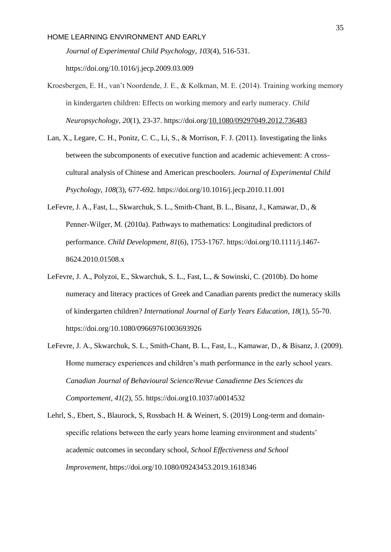$\overline{N}$   $\overline{N}$   $\overline{N}$ *Journal of Experimental Child Psychology*, *103*(4), 516-531.

https://doi.org[/10.1016/j.jecp.2009.03.009](https://doi.org/10.1016/j.jecp.2009.03.009)

- Kroesbergen, E. H., van't Noordende, J. E., & Kolkman, M. E. (2014). Training working memory in kindergarten children: Effects on working memory and early numeracy. *Child Neuropsychology*, *20*(1), 23-37. https://doi.org[/10.1080/09297049.2012.736483](https://doi.org/10.1080/09297049.2012.736483)
- Lan, X., Legare, C. H., Ponitz, C. C., Li, S., & Morrison, F. J. (2011). Investigating the links between the subcomponents of executive function and academic achievement: A crosscultural analysis of Chinese and American preschoolers. *Journal of Experimental Child Psychology*, *108*(3), 677-692. https://doi.org[/10.1016/j.jecp.2010.11.001](https://doi.org/10.1016/j.jecp.2010.11.001)
- LeFevre, J. A., Fast, L., Skwarchuk, S. L., Smith‐Chant, B. L., Bisanz, J., Kamawar, D., & Penner‐Wilger, M. (2010a). Pathways to mathematics: Longitudinal predictors of performance. *Child Development*, *81*(6), 1753-1767. https://doi.org[/10.1111/j.1467-](https://doi.org/10.1111/j.1467-8624.2010.01508.x) [8624.2010.01508.x](https://doi.org/10.1111/j.1467-8624.2010.01508.x)
- LeFevre, J. A., Polyzoi, E., Skwarchuk, S. L., Fast, L., & Sowinski, C. (2010b). Do home numeracy and literacy practices of Greek and Canadian parents predict the numeracy skills of kindergarten children? *International Journal of Early Years Education*, *18*(1), 55-70. https://doi.org[/10.1080/09669761003693926](https://doi.org/10.1080/09669761003693926)
- LeFevre, J. A., Skwarchuk, S. L., Smith-Chant, B. L., Fast, L., Kamawar, D., & Bisanz, J. (2009). Home numeracy experiences and children's math performance in the early school years. *Canadian Journal of Behavioural Science/Revue Canadienne Des Sciences du Comportement*, *41*(2), 55. https://doi.or[g10.1037/a0014532](http://psycnet.apa.org/doi/10.1037/a0014532)
- Lehrl, S., Ebert, S., Blaurock, S, Rossbach H. & Weinert, S. (2019) Long-term and domainspecific relations between the early years home learning environment and students' academic outcomes in secondary school, *School Effectiveness and School Improvement*, https://doi.org[/10.1080/09243453.2019.1618346](https://doi.org/10.1080/09243453.2019.1618346)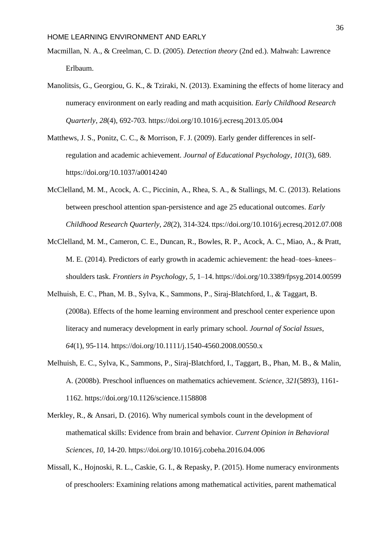- $\frac{1}{2}$ Macmillan, N. A., & Creelman, C. D. (2005). *Detection theory* (2nd ed.). Mahwah: Lawrence Erlbaum.
- Manolitsis, G., Georgiou, G. K., & Tziraki, N. (2013). Examining the effects of home literacy and numeracy environment on early reading and math acquisition. *Early Childhood Research Quarterly*, *28*(4), 692-703. https://doi.org[/10.1016/j.ecresq.2013.05.004](https://doi.org/10.1016/j.ecresq.2013.05.004)
- Matthews, J. S., Ponitz, C. C., & Morrison, F. J. (2009). Early gender differences in selfregulation and academic achievement. *Journal of Educational Psychology*, *101*(3), 689. https://doi.org[/10.1037/a0014240](https://psycnet.apa.org/doi/10.1037/a0014240)
- McClelland, M. M., Acock, A. C., Piccinin, A., Rhea, S. A., & Stallings, M. C. (2013). Relations between preschool attention span-persistence and age 25 educational outcomes. *Early Childhood Research Quarterly*, *28*(2), 314-324. ttps://doi.or[g/10.1016/j.ecresq.2012.07.008](https://doi.org/10.1016/j.ecresq.2012.07.008)
- McClelland, M. M., Cameron, C. E., Duncan, R., Bowles, R. P., Acock, A. C., Miao, A., & Pratt, M. E. (2014). Predictors of early growth in academic achievement: the head–toes–knees– shoulders task. *Frontiers in Psychology*, *5*, 1–14. https://doi.org/10.3389/fpsyg.2014.00599
- Melhuish, E. C., Phan, M. B., Sylva, K., Sammons, P., Siraj‐Blatchford, I., & Taggart, B. (2008a). Effects of the home learning environment and preschool center experience upon literacy and numeracy development in early primary school. *Journal of Social Issues*, *64*(1), 95-114. https://doi.org/10.1111/j.1540-4560.2008.00550.x
- Melhuish, E. C., Sylva, K., Sammons, P., Siraj-Blatchford, I., Taggart, B., Phan, M. B., & Malin, A. (2008b). Preschool influences on mathematics achievement. *Science*, *321*(5893), 1161- 1162. https://doi.org[/10.1126/science.1158808](https://doi.org/10.1126/science.1158808)
- Merkley, R., & Ansari, D. (2016). Why numerical symbols count in the development of mathematical skills: Evidence from brain and behavior. *Current Opinion in Behavioral Sciences*, *10*, 14-20. https://doi.org/10.1016/j.cobeha.2016.04.006
- Missall, K., Hojnoski, R. L., Caskie, G. I., & Repasky, P. (2015). Home numeracy environments of preschoolers: Examining relations among mathematical activities, parent mathematical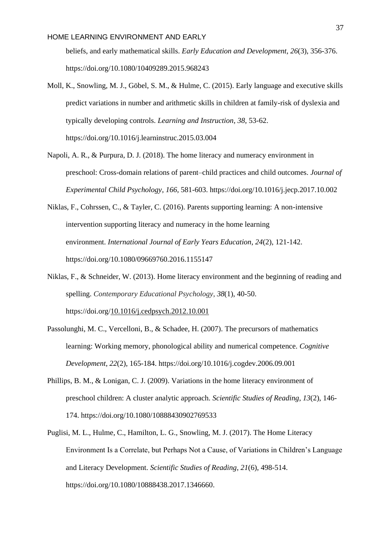$\frac{1}{2}$ beliefs, and early mathematical skills. *Early Education and Development*, *26*(3), 356-376. https://doi.org[/10.1080/10409289.2015.968243](https://doi.org/10.1080/10409289.2015.968243)

- Moll, K., Snowling, M. J., Göbel, S. M., & Hulme, C. (2015). Early language and executive skills predict variations in number and arithmetic skills in children at family-risk of dyslexia and typically developing controls. *Learning and Instruction*, *38*, 53-62. https://doi.org[/10.1016/j.learninstruc.2015.03.004](https://doi.org/10.1016/j.learninstruc.2015.03.004)
- Napoli, A. R., & Purpura, D. J. (2018). The home literacy and numeracy environment in preschool: Cross-domain relations of parent–child practices and child outcomes. *Journal of Experimental Child Psychology*, *166*, 581-603. https://doi.org[/10.1016/j.jecp.2017.10.002](https://doi.org/10.1016/j.jecp.2017.10.002)
- Niklas, F., Cohrssen, C., & Tayler, C. (2016). Parents supporting learning: A non-intensive intervention supporting literacy and numeracy in the home learning environment. *International Journal of Early Years Education*, *24*(2), 121-142. https://doi.org/10.1080/09669760.2016.1155147
- Niklas, F., & Schneider, W. (2013). Home literacy environment and the beginning of reading and spelling. *Contemporary Educational Psychology*, *38*(1), 40-50. https://doi.org[/10.1016/j.cedpsych.2012.10.001](https://doi.org/10.1016/j.cedpsych.2012.10.001)
- Passolunghi, M. C., Vercelloni, B., & Schadee, H. (2007). The precursors of mathematics learning: Working memory, phonological ability and numerical competence. *Cognitive Development*, *22*(2), 165-184. https://doi.org[/10.1016/j.cogdev.2006.09.001](https://doi.org/10.1016/j.cogdev.2006.09.001)
- Phillips, B. M., & Lonigan, C. J. (2009). Variations in the home literacy environment of preschool children: A cluster analytic approach. *Scientific Studies of Reading*, *13*(2), 146- 174. https://doi.org[/10.1080/10888430902769533](https://doi.org/10.1080/10888430902769533)
- Puglisi, M. L., Hulme, C., Hamilton, L. G., Snowling, M. J. (2017). The Home Literacy Environment Is a Correlate, but Perhaps Not a Cause, of Variations in Children's Language and Literacy Development. *Scientific Studies of Reading*, *21*(6), 498-514. https://doi.org/10.1080/10888438.2017.1346660.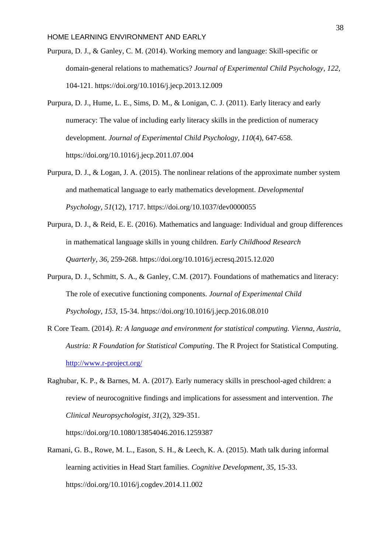- $\overline{D}$ Purpura, D. J., & Ganley, C. M. (2014). Working memory and language: Skill-specific or domain-general relations to mathematics? *Journal of Experimental Child Psychology*, *122*, 104-121. https://doi.org[/10.1016/j.jecp.2013.12.009](https://doi.org/10.1016/j.jecp.2013.12.009)
- Purpura, D. J., Hume, L. E., Sims, D. M., & Lonigan, C. J. (2011). Early literacy and early numeracy: The value of including early literacy skills in the prediction of numeracy development. *Journal of Experimental Child Psychology*, *110*(4), 647-658. https://doi.org[/10.1016/j.jecp.2011.07.004](https://doi.org/10.1016/j.jecp.2011.07.004)
- Purpura, D. J., & Logan, J. A. (2015). The nonlinear relations of the approximate number system and mathematical language to early mathematics development. *Developmental Psychology*, *51*(12), 1717. https://doi.org[/10.1037/dev0000055](https://psycnet.apa.org/doi/10.1037/dev0000055)
- Purpura, D. J., & Reid, E. E. (2016). Mathematics and language: Individual and group differences in mathematical language skills in young children. *Early Childhood Research Quarterly*, *36*, 259-268. https://doi.org[/10.1016/j.ecresq.2015.12.020](https://doi.org/10.1016/j.ecresq.2015.12.020)
- Purpura, D. J., Schmitt, S. A., & Ganley, C.M. (2017). Foundations of mathematics and literacy: The role of executive functioning components. *Journal of Experimental Child Psychology*, *153*, 15-34. https://doi.org/10.1016/j.jecp.2016.08.010
- R Core Team. (2014). *R: A language and environment for statistical computing. Vienna, Austria, Austria: R Foundation for Statistical Computing*. The R Project for Statistical Computing. <http://www.r-project.org/>
- Raghubar, K. P., & Barnes, M. A. (2017). Early numeracy skills in preschool-aged children: a review of neurocognitive findings and implications for assessment and intervention. *The Clinical Neuropsychologist*, *31*(2), 329-351.

https://doi.org[/10.1080/13854046.2016.1259387](https://doi.org/10.1080/13854046.2016.1259387)

Ramani, G. B., Rowe, M. L., Eason, S. H., & Leech, K. A. (2015). Math talk during informal learning activities in Head Start families. *Cognitive Development*, *35*, 15-33. https://doi.org[/10.1016/j.cogdev.2014.11.002](https://doi.org/10.1016/j.cogdev.2014.11.002)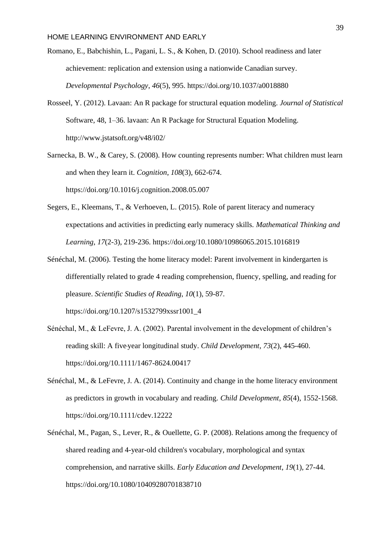- $\mathbf{R} = \mathbf{R} \mathbf{R}$ Romano, E., Babchishin, L., Pagani, L. S., & Kohen, D. (2010). School readiness and later achievement: replication and extension using a nationwide Canadian survey. *Developmental Psychology*, *46*(5), 995. https://doi.org[/10.1037/a0018880](http://psycnet.apa.org/doi/10.1037/a0018880)
- Rosseel, Y. (2012). Lavaan: An R package for structural equation modeling. *Journal of Statistical*  Software, 48, 1–36. lavaan: An R Package for Structural Equation Modeling. <http://www.jstatsoft.org/v48/i02/>
- Sarnecka, B. W., & Carey, S. (2008). How counting represents number: What children must learn and when they learn it. *Cognition*, *108*(3), 662-674. https://doi.org[/10.1016/j.cognition.2008.05.007](https://doi.org/10.1016/j.cognition.2008.05.007)
- Segers, E., Kleemans, T., & Verhoeven, L. (2015). Role of parent literacy and numeracy expectations and activities in predicting early numeracy skills. *Mathematical Thinking and Learning*, *17*(2-3), 219-236. https://doi.org[/10.1080/10986065.2015.1016819](https://doi.org/10.1080/10986065.2015.1016819)
- Sénéchal, M. (2006). Testing the home literacy model: Parent involvement in kindergarten is differentially related to grade 4 reading comprehension, fluency, spelling, and reading for pleasure. *Scientific Studies of Reading*, *10*(1), 59-87. https://doi.org[/10.1207/s1532799xssr1001\\_4](https://doi.org/10.1207/s1532799xssr1001_4)
- Sénéchal, M., & LeFevre, J. A. (2002). Parental involvement in the development of children's reading skill: A five‐year longitudinal study. *Child Development*, *73*(2), 445-460. https://doi.org/10.1111/1467-8624.00417
- Sénéchal, M., & LeFevre, J. A. (2014). Continuity and change in the home literacy environment as predictors in growth in vocabulary and reading. *Child Development*, *85*(4), 1552-1568. <https://doi.org/10.1111/cdev.12222>
- Sénéchal, M., Pagan, S., Lever, R., & Ouellette, G. P. (2008). Relations among the frequency of shared reading and 4-year-old children's vocabulary, morphological and syntax comprehension, and narrative skills. *Early Education and Development*, *19*(1), 27-44. https://doi.org/10.1080/10409280701838710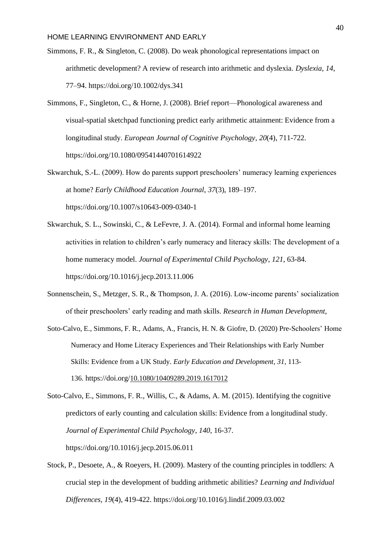- $\ddot{\mathbf{S}}$ Simmons, F. R., & Singleton, C. (2008). Do weak phonological representations impact on arithmetic development? A review of research into arithmetic and dyslexia. *Dyslexia*, *14*, 77–94. https://doi.org/10.1002/dys.341
- Simmons, F., Singleton, C., & Horne, J. (2008). Brief report—Phonological awareness and visual-spatial sketchpad functioning predict early arithmetic attainment: Evidence from a longitudinal study. *European Journal of Cognitive Psychology*, *20*(4), 711-722. https://doi.org[/10.1080/09541440701614922](https://doi.org/10.1080/09541440701614922)
- Skwarchuk, S.-L. (2009). How do parents support preschoolers' numeracy learning experiences at home? *Early Childhood Education Journal*, *37*(3), 189–197. https://doi.org/10.1007/s10643-009-0340-1
- Skwarchuk, S. L., Sowinski, C., & LeFevre, J. A. (2014). Formal and informal home learning activities in relation to children's early numeracy and literacy skills: The development of a home numeracy model. *Journal of Experimental Child Psychology*, *121*, 63-84. https://doi.org[/10.1016/j.jecp.2013.11.006](https://doi.org/10.1016/j.jecp.2013.11.006)
- Sonnenschein, S., Metzger, S. R., & Thompson, J. A. (2016). Low-income parents' socialization of their preschoolers' early reading and math skills. *Research in Human Development*,
- Soto-Calvo, E., Simmons, F. R., Adams, A., Francis, H. N. & Giofre, D. (2020) Pre-Schoolers' Home Numeracy and Home Literacy Experiences and Their Relationships with Early Number Skills: Evidence from a UK Study. *Early Education and Development*, *31*, 113- 136. https://doi.org/[10.1080/10409289.2019.1617012](https://doi.org/10.1080/10409289.2019.1617012)
- Soto-Calvo, E., Simmons, F. R., Willis, C., & Adams, A. M. (2015). Identifying the cognitive predictors of early counting and calculation skills: Evidence from a longitudinal study. *Journal of Experimental Child Psychology*, *140*, 16-37. https://doi.org[/10.1016/j.jecp.2015.06.011](https://doi.org/10.1016/j.jecp.2015.06.011)
- Stock, P., Desoete, A., & Roeyers, H. (2009). Mastery of the counting principles in toddlers: A crucial step in the development of budding arithmetic abilities? *Learning and Individual Differences*, *19*(4), 419-422. https://doi.org[/10.1016/j.lindif.2009.03.002](https://doi.org/10.1016/j.lindif.2009.03.002)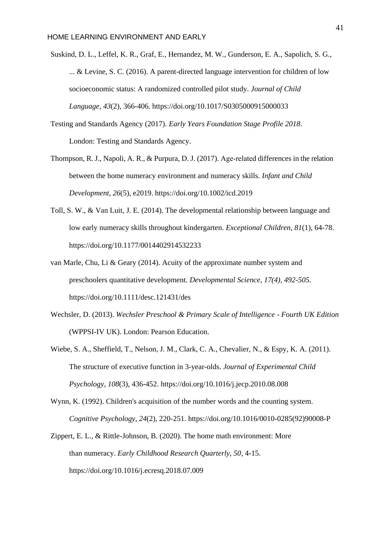- Suskind, D. L., Leffel, K. R., Graf, E., Hernandez, M. W., Gunderson, E. A., Sapolich, S. G., ... & Levine, S. C. (2016). A parent-directed language intervention for children of low socioeconomic status: A randomized controlled pilot study. *Journal of Child Language*, *43*(2), 366-406. https://doi.org/10.1017/S0305000915000033
- Testing and Standards Agency (2017). *Early Years Foundation Stage Profile 2018*. London: Testing and Standards Agency.
- Thompson, R. J., Napoli, A. R., & Purpura, D. J. (2017). Age-related differences in the relation between the home numeracy environment and numeracy skills. *Infant and Child Development*, *26*(5), e2019. https://doi.org/10.1002/icd.2019
- Toll, S. W., & Van Luit, J. E. (2014). The developmental relationship between language and low early numeracy skills throughout kindergarten. *Exceptional Children*, *81*(1), 64-78. https://doi.org[/10.1177/0014402914532233](https://doi.org/10.1177/0014402914532233)
- van Marle, Chu, Li & Geary (2014). Acuity of the approximate number system and preschoolers quantitative development. *Developmental Science, 17(4), 492-505.*  https://doi.org[/10.1111/desc.121431](https://doi.org/10.1111/desc.12143)/des
- Wechsler, D. (2013). *Wechsler Preschool & Primary Scale of Intelligence - Fourth UK Edition* (WPPSI-IV UK). London: Pearson Education.
- Wiebe, S. A., Sheffield, T., Nelson, J. M., Clark, C. A., Chevalier, N., & Espy, K. A. (2011). The structure of executive function in 3-year-olds. *Journal of Experimental Child Psychology*, *108*(3), 436-452. https://doi.org[/10.1016/j.jecp.2010.08.008](https://doi.org/10.1016/j.jecp.2010.08.008)
- Wynn, K. (1992). Children's acquisition of the number words and the counting system. *Cognitive Psychology*, *24*(2), 220-251. [https://doi.org/10.1016/0010-0285\(92\)90008-P](https://doi.org/10.1016/0010-0285(92)90008-P)
- Zippert, E. L., & Rittle-Johnson, B. (2020). The home math environment: More than numeracy. *Early Childhood Research Quarterly, 50*, 4-15. https://doi.org[/10.1016/j.ecresq.2018.07.009](https://doi.org/10.1016/j.ecresq.2018.07.009)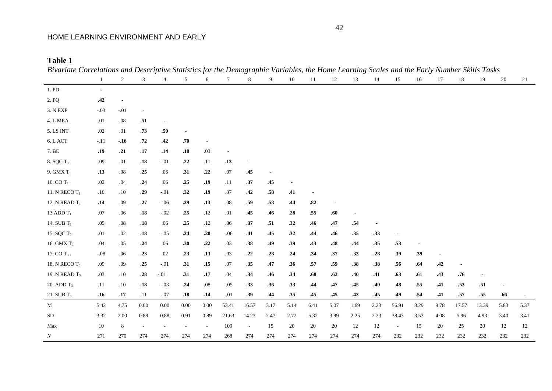**Table 1**

| Divariate correlations and Descriptive Statistics for the Demographic variables, the Home Bearing Scates and the Barry Framoer S | 1              | $\overline{2}$ | $\mathfrak{Z}$           | 4                        | 5                        | 6                        | $7\phantom{.0}$ | 8      | 9                        | 10                       | 11   | 12                       | 13   | 14                       | 15                       | 16   | 17             | 18    | 19                       | 20   | 21             |
|----------------------------------------------------------------------------------------------------------------------------------|----------------|----------------|--------------------------|--------------------------|--------------------------|--------------------------|-----------------|--------|--------------------------|--------------------------|------|--------------------------|------|--------------------------|--------------------------|------|----------------|-------|--------------------------|------|----------------|
| $1.$ PD                                                                                                                          | $\blacksquare$ |                |                          |                          |                          |                          |                 |        |                          |                          |      |                          |      |                          |                          |      |                |       |                          |      |                |
| 2. PQ                                                                                                                            | .42            | $\sim$         |                          |                          |                          |                          |                 |        |                          |                          |      |                          |      |                          |                          |      |                |       |                          |      |                |
| $3.$ N $\rm EXP$                                                                                                                 | $-.03$         | $-.01$         |                          |                          |                          |                          |                 |        |                          |                          |      |                          |      |                          |                          |      |                |       |                          |      |                |
| $4. L\, \mathrm{MEA}$                                                                                                            | $.01\,$        | .08            | .51                      | $\overline{\phantom{a}}$ |                          |                          |                 |        |                          |                          |      |                          |      |                          |                          |      |                |       |                          |      |                |
| 5. LS INT                                                                                                                        | $.02\,$        | .01            | .73                      | .50                      | $\overline{\phantom{a}}$ |                          |                 |        |                          |                          |      |                          |      |                          |                          |      |                |       |                          |      |                |
| $6.$ L $\operatorname{ACT}$                                                                                                      | $-.11$         | $-.16$         | .72                      | .42                      | .70                      |                          |                 |        |                          |                          |      |                          |      |                          |                          |      |                |       |                          |      |                |
| 7. BE                                                                                                                            | .19            | .21            | .17                      | .14                      | .18                      | .03                      |                 |        |                          |                          |      |                          |      |                          |                          |      |                |       |                          |      |                |
| 8. SQC $T_1$                                                                                                                     | .09            | .01            | .18                      | $-.01$                   | .22                      | .11                      | .13             |        |                          |                          |      |                          |      |                          |                          |      |                |       |                          |      |                |
| 9. GMX $T_1$                                                                                                                     | .13            | $.08\,$        | .25                      | .06                      | .31                      | .22                      | $.07$           | .45    | $\overline{\phantom{a}}$ |                          |      |                          |      |                          |                          |      |                |       |                          |      |                |
| 10. CO $T_1$                                                                                                                     | $.02\,$        | .04            | .24                      | .06                      | .25                      | .19                      | .11             | .37    | .45                      | $\overline{\phantom{a}}$ |      |                          |      |                          |                          |      |                |       |                          |      |                |
| 11. N $RECOT_1$                                                                                                                  | .10            | .10            | .29                      | $-.01$                   | .32                      | .19                      | .07             | .42    | .58                      | .41                      |      |                          |      |                          |                          |      |                |       |                          |      |                |
| 12. N READ $T_1$                                                                                                                 | .14            | .09            | .27                      | $-.06$                   | .29                      | .13                      | .08             | .59    | $.58\,$                  | .44                      | .82  | $\overline{\phantom{a}}$ |      |                          |                          |      |                |       |                          |      |                |
| 13 ADD $T_1$                                                                                                                     | .07            | .06            | .18                      | $-.02$                   | .25                      | .12                      | .01             | .45    | .46                      | .28                      | .55  | .60                      |      |                          |                          |      |                |       |                          |      |                |
| 14. SUB T <sub>1</sub>                                                                                                           | .05            | .08            | .18                      | .06                      | .25                      | .12                      | .06             | .37    | .51                      | .32                      | .46  | .47                      | .54  | $\overline{\phantom{a}}$ |                          |      |                |       |                          |      |                |
| 15. SQC T <sub>3</sub>                                                                                                           | .01            | .02            | .18                      | $-.05$                   | .24                      | .20                      | $-0.06$         | .41    | .45                      | .32                      | .44  | .46                      | .35  | .33                      |                          |      |                |       |                          |      |                |
| 16. GMX T <sub>3</sub>                                                                                                           | .04            | .05            | .24                      | .06                      | .30                      | .22                      | .03             | .38    | .49                      | .39                      | .43  | .48                      | .44  | .35                      | .53                      |      |                |       |                          |      |                |
| 17. CO T <sub>3</sub>                                                                                                            | $-.08$         | .06            | .23                      | $.02\,$                  | .23                      | .13                      | .03             | .22    | .28                      | .24                      | .34  | .37                      | .33  | .28                      | .39                      | .39  | $\blacksquare$ |       |                          |      |                |
| 18. N $RECOT_3$                                                                                                                  | .09            | .09            | .25                      | $-.01$                   | .31                      | .15                      | .07             | .35    | .47                      | .36                      | .57  | .59                      | .38  | .38                      | .56                      | .64  | .42            |       |                          |      |                |
| 19. N READ T <sub>3</sub>                                                                                                        | .03            | .10            | .28                      | $-.01$                   | .31                      | .17                      | .04             | .34    | .46                      | .34                      | .60  | .62                      | .40  | .41                      | .63                      | .61  | .43            | .76   | $\overline{\phantom{a}}$ |      |                |
| 20. ADD $T_3$                                                                                                                    | .11            | .10            | .18                      | $-.03$                   | .24                      | .08                      | $-.05$          | .33    | .36                      | .33                      | .44  | .47                      | .45  | .40                      | .48                      | .55  | .41            | .53   | .51                      |      |                |
| 21. SUB $T_3$                                                                                                                    | .16            | .17            | .11                      | $-.07$                   | .18                      | .14                      | $-.01$          | .39    | .44                      | .35                      | .45  | .45                      | .43  | .45                      | .49                      | .54  | .41            | .57   | .55                      | .66  | $\blacksquare$ |
| M                                                                                                                                | 5.42           | 4.75           | 0.00                     | 0.00                     | 0.00                     | $0.00\,$                 | 53.41           | 16.57  | 3.17                     | 5.14                     | 6.41 | 5.07                     | 1.69 | 2.23                     | 56.91                    | 8.29 | 9.78           | 17.57 | 13.39                    | 5.83 | 5.37           |
| ${\rm SD}$                                                                                                                       | 3.32           | $2.00\,$       | 0.89                     | 0.88                     | 0.91                     | 0.89                     | 21.63           | 14.23  | 2.47                     | 2.72                     | 5.32 | 3.99                     | 2.25 | 2.23                     | 38.43                    | 3.53 | 4.08           | 5.96  | 4.93                     | 3.40 | 3.41           |
| Max                                                                                                                              | $10\,$         | $\,8\,$        | $\overline{\phantom{a}}$ | $\sim$                   | $\overline{\phantom{m}}$ | $\overline{\phantom{a}}$ | 100             | $\sim$ | 15                       | 20                       | 20   | 20                       | 12   | 12                       | $\overline{\phantom{a}}$ | 15   | 20             | 25    | 20                       | 12   | 12             |
| $\boldsymbol{N}$                                                                                                                 | 271            | 270            | 274                      | 274                      | 274                      | 274                      | 268             | 274    | 274                      | 274                      | 274  | 274                      | 274  | 274                      | 232                      | 232  | 232            | 232   | 232                      | 232  | 232            |

*Bivariate Correlations and Descriptive Statistics for the Demographic Variables, the Home Learning Scales and the Early Number Skills Tasks*

42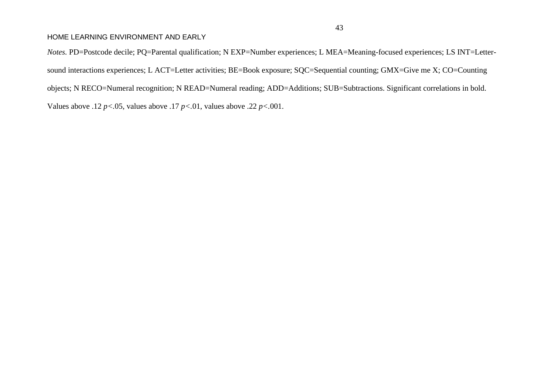*Notes.* PD=Postcode decile; PQ=Parental qualification; N EXP=Number experiences; L MEA=Meaning-focused experiences; LS INT=Lettersound interactions experiences; L ACT=Letter activities; BE=Book exposure; SQC=Sequential counting; GMX=Give me X; CO=Counting objects; N RECO=Numeral recognition; N READ=Numeral reading; ADD=Additions; SUB=Subtractions. Significant correlations in bold. Values above .12 *p<.*05, values above .17 *p<.*01, values above .22 *p<.*001.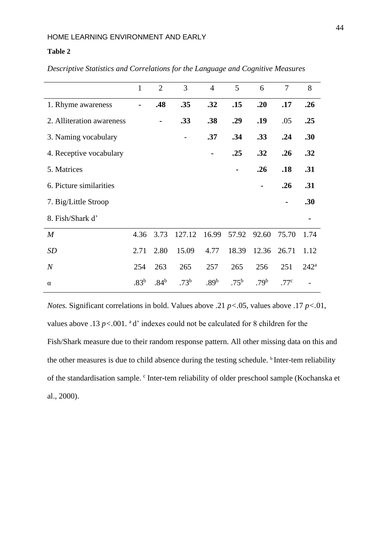# **Table 2**

|                           | $\mathbf{1}$     | $\overline{2}$   | 3         | $\overline{4}$   | 5                | 6                | $\overline{7}$   | 8                |
|---------------------------|------------------|------------------|-----------|------------------|------------------|------------------|------------------|------------------|
| 1. Rhyme awareness        |                  | .48              | .35       | .32              | .15              | .20              | .17              | .26              |
| 2. Alliteration awareness |                  | $\blacksquare$   | .33       | .38              | .29              | .19              | .05              | .25              |
| 3. Naming vocabulary      |                  |                  |           | .37              | .34              | .33              | .24              | .30              |
| 4. Receptive vocabulary   |                  |                  |           |                  | .25              | .32              | .26              | .32              |
| 5. Matrices               |                  |                  |           |                  |                  | .26              | .18              | .31              |
| 6. Picture similarities   |                  |                  |           |                  |                  |                  | .26              | .31              |
| 7. Big/Little Stroop      |                  |                  |           |                  |                  |                  |                  | .30              |
| 8. Fish/Shark d'          |                  |                  |           |                  |                  |                  |                  |                  |
| $\boldsymbol{M}$          | 4.36             | 3.73             | 127.12    | 16.99            | 57.92            | 92.60            | 75.70            | 1.74             |
| <b>SD</b>                 | 2.71             | 2.80             | 15.09     | 4.77             | 18.39            | 12.36            | 26.71            | 1.12             |
| $\boldsymbol{N}$          | 254              | 263              | 265       | 257              | 265              | 256              | 251              | 242 <sup>a</sup> |
| $\alpha$                  | .83 <sup>b</sup> | .84 <sup>b</sup> | $.73^{b}$ | .89 <sup>b</sup> | .75 <sup>b</sup> | .79 <sup>b</sup> | .77 <sup>c</sup> |                  |

*Descriptive Statistics and Correlations for the Language and Cognitive Measures*

*Notes.* Significant correlations in bold. Values above .21 *p<.*05, values above .17 *p<.*01, values above .13  $p$ <.001. <sup>a</sup> d' indexes could not be calculated for 8 children for the Fish/Shark measure due to their random response pattern. All other missing data on this and the other measures is due to child absence during the testing schedule. <sup>b</sup> Inter-tem reliability of the standardisation sample. <sup>c</sup> Inter-tem reliability of older preschool sample (Kochanska et al., 2000).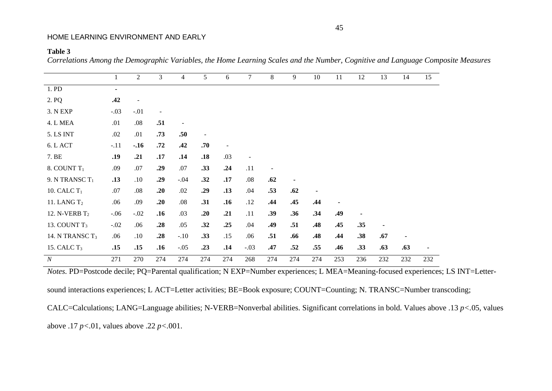#### **Table 3**

*Correlations Among the Demographic Variables, the Home Learning Scales and the Number, Cognitive and Language Composite Measures*

|                    | $\mathbf{1}$   | $\mathbf{2}$ | 3                        | $\overline{4}$           | 5   | 6                        | $7\overline{ }$ | 8                        | 9              | 10  | 11  | 12  | 13  | 14  | 15  |
|--------------------|----------------|--------------|--------------------------|--------------------------|-----|--------------------------|-----------------|--------------------------|----------------|-----|-----|-----|-----|-----|-----|
| 1. PD              | $\blacksquare$ |              |                          |                          |     |                          |                 |                          |                |     |     |     |     |     |     |
| 2. PQ              | .42            |              |                          |                          |     |                          |                 |                          |                |     |     |     |     |     |     |
| 3. N EXP           | $-.03$         | $-.01$       | $\overline{\phantom{a}}$ |                          |     |                          |                 |                          |                |     |     |     |     |     |     |
| 4. L MEA           | .01            | $.08\,$      | .51                      | $\overline{\phantom{a}}$ |     |                          |                 |                          |                |     |     |     |     |     |     |
| <b>5. LS INT</b>   | .02            | .01          | .73                      | .50                      |     |                          |                 |                          |                |     |     |     |     |     |     |
| 6. L ACT           | $-.11$         | $-.16$       | .72                      | .42                      | .70 | $\overline{\phantom{a}}$ |                 |                          |                |     |     |     |     |     |     |
| 7. BE              | .19            | .21          | .17                      | .14                      | .18 | .03                      | Ξ.              |                          |                |     |     |     |     |     |     |
| 8. COUNT $T_1$     | .09            | .07          | .29                      | .07                      | .33 | .24                      | .11             | $\overline{\phantom{a}}$ |                |     |     |     |     |     |     |
| 9. N TRANSC $T_1$  | .13            | .10          | .29                      | $-.04$                   | .32 | .17                      | .08             | .62                      | $\blacksquare$ |     |     |     |     |     |     |
| 10. CALC $T_1$     | .07            | .08          | .20                      | .02                      | .29 | .13                      | .04             | .53                      | .62            |     |     |     |     |     |     |
| 11. LANG $T2$      | .06            | .09          | .20                      | .08                      | .31 | .16                      | .12             | .44                      | .45            | .44 |     |     |     |     |     |
| 12. N-VERB $T_2$   | $-.06$         | $-.02$       | .16                      | .03                      | .20 | .21                      | .11             | .39                      | .36            | .34 | .49 |     |     |     |     |
| 13. COUNT $T_3$    | $-.02$         | .06          | .28                      | .05                      | .32 | .25                      | .04             | .49                      | .51            | .48 | .45 | .35 |     |     |     |
| 14. N TRANSC $T_3$ | .06            | .10          | .28                      | $-.10$                   | .33 | .15                      | .06             | .51                      | .66            | .48 | .44 | .38 | .67 | ٠   |     |
| 15. CALC $T_3$     | .15            | .15          | .16                      | $-.05$                   | .23 | .14                      | $-.03$          | .47                      | .52            | .55 | .46 | .33 | .63 | .63 |     |
| $\boldsymbol{N}$   | 271            | 270          | 274                      | 274                      | 274 | 274                      | 268             | 274                      | 274            | 274 | 253 | 236 | 232 | 232 | 232 |

*Notes.* PD=Postcode decile; PQ=Parental qualification; N EXP=Number experiences; L MEA=Meaning-focused experiences; LS INT=Letter-

sound interactions experiences; L ACT=Letter activities; BE=Book exposure; COUNT=Counting; N. TRANSC=Number transcoding;

CALC=Calculations; LANG=Language abilities; N-VERB=Nonverbal abilities. Significant correlations in bold. Values above .13 *p<.*05, values above .17 *p<.*01, values above .22 *p<.*001.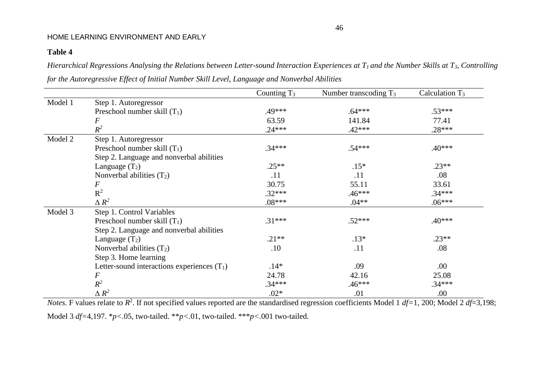# **Table 4**

*Hierarchical Regressions Analysing the Relations between Letter-sound Interaction Experiences at T1 and the Number Skills at T3, Controlling for the Autoregressive Effect of Initial Number Skill Level, Language and Nonverbal Abilities*

|         |                                               | Counting $T_3$ | Number transcoding $T_3$ | Calculation $T_3$ |
|---------|-----------------------------------------------|----------------|--------------------------|-------------------|
| Model 1 | Step 1. Autoregressor                         |                |                          |                   |
|         | Preschool number skill $(T_1)$                | .49***         | $.64***$                 | $.53***$          |
|         | $\,F$                                         | 63.59          | 141.84                   | 77.41             |
|         | $R^2$                                         | $.24***$       | $.42***$                 | $.28***$          |
| Model 2 | Step 1. Autoregressor                         |                |                          |                   |
|         | Preschool number skill $(T_1)$                | $.34***$       | $.54***$                 | $.40***$          |
|         | Step 2. Language and nonverbal abilities      |                |                          |                   |
|         | Language $(T_2)$                              | $.25**$        | $.15*$                   | $.23**$           |
|         | Nonverbal abilities $(T_2)$                   | .11            | .11                      | .08               |
|         | $\boldsymbol{F}$                              | 30.75          | 55.11                    | 33.61             |
|         | $R^2$                                         | $.32***$       | $.46***$                 | $.34***$          |
|         | $\Delta R^2$                                  | $.08***$       | $.04**$                  | $.06***$          |
| Model 3 | Step 1. Control Variables                     |                |                          |                   |
|         | Preschool number skill $(T_1)$                | $.31***$       | $.52***$                 | $.40***$          |
|         | Step 2. Language and nonverbal abilities      |                |                          |                   |
|         | Language $(T_2)$                              | $.21**$        | $.13*$                   | $.23**$           |
|         | Nonverbal abilities $(T_2)$                   | .10            | .11                      | .08               |
|         | Step 3. Home learning                         |                |                          |                   |
|         | Letter-sound interactions experiences $(T_1)$ | $.14*$         | .09                      | .00.              |
|         | $\boldsymbol{F}$                              | 24.78          | 42.16                    | 25.08             |
|         | $R^2$                                         | $.34***$       | $.46***$                 | $.34***$          |
|         | $\triangle R^2$                               | $.02*$         | .01                      | .00.              |

*Notes*. F values relate to  $R^2$ . If not specified values reported are the standardised regression coefficients Model 1 *df*=1, 200; Model 2 *df*=3,198; Model 3 *df=*4,197. \**p<.*05, two-tailed. \*\**p<.*01, two-tailed. \*\*\**p<.*001 two-tailed.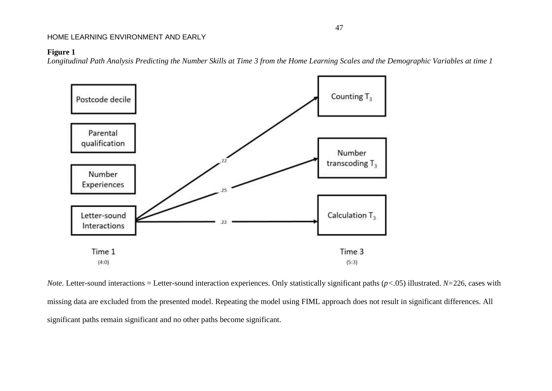# **Figure 1**

*Longitudinal Path Analysis Predicting the Number Skills at Time 3 from the Home Learning Scales and the Demographic Variables at time 1*



*Note.* Letter-sound interactions = Letter-sound interaction experiences. Only statistically significant paths  $(p<0.05)$  illustrated. *N*=226, cases with missing data are excluded from the presented model. Repeating the model using FIML approach does not result in significant differences. All significant paths remain significant and no other paths become significant.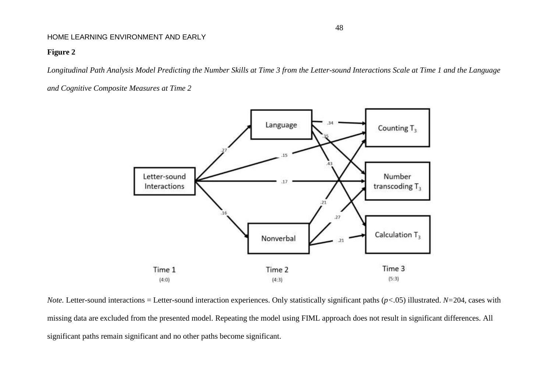# **Figure 2**

*Longitudinal Path Analysis Model Predicting the Number Skills at Time 3 from the Letter-sound Interactions Scale at Time 1 and the Language* 

*and Cognitive Composite Measures at Time 2*



*Note.* Letter-sound interactions = Letter-sound interaction experiences. Only statistically significant paths (*p<.*05) illustrated. *N=*204, cases with missing data are excluded from the presented model. Repeating the model using FIML approach does not result in significant differences. All significant paths remain significant and no other paths become significant.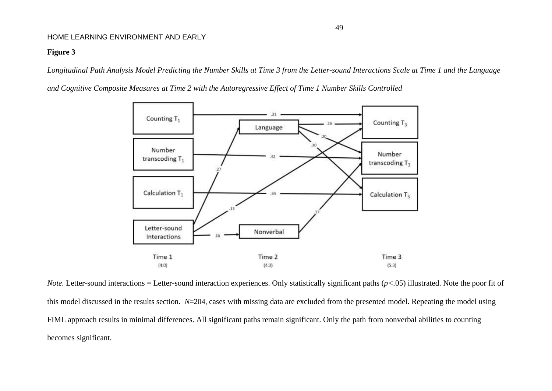# **Figure 3**

*Longitudinal Path Analysis Model Predicting the Number Skills at Time 3 from the Letter-sound Interactions Scale at Time 1 and the Language* 

*and Cognitive Composite Measures at Time 2 with the Autoregressive Effect of Time 1 Number Skills Controlled*



*Note.* Letter-sound interactions = Letter-sound interaction experiences. Only statistically significant paths  $(p<0.05)$  illustrated. Note the poor fit of this model discussed in the results section. *N*=204, cases with missing data are excluded from the presented model. Repeating the model using FIML approach results in minimal differences. All significant paths remain significant. Only the path from nonverbal abilities to counting becomes significant.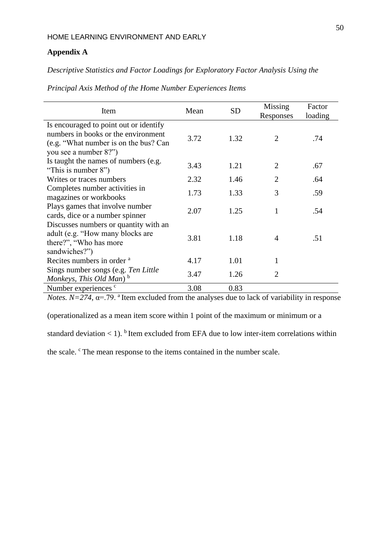# **Appendix A**

# *Descriptive Statistics and Factor Loadings for Exploratory Factor Analysis Using the*

| Item                                   | Mean | <b>SD</b> | Missing<br>Responses | Factor<br>loading |
|----------------------------------------|------|-----------|----------------------|-------------------|
| Is encouraged to point out or identify |      |           |                      |                   |
| numbers in books or the environment    | 3.72 | 1.32      | 2                    | .74               |
| (e.g. "What number is on the bus? Can  |      |           |                      |                   |
| you see a number 8?")                  |      |           |                      |                   |
| Is taught the names of numbers (e.g.   | 3.43 | 1.21      | 2                    | .67               |
| "This is number 8")                    |      |           |                      |                   |
| Writes or traces numbers               | 2.32 | 1.46      | $\overline{2}$       | .64               |
| Completes number activities in         | 1.73 | 1.33      | 3                    | .59               |
| magazines or workbooks                 |      |           |                      |                   |
| Plays games that involve number        | 2.07 | 1.25      | 1                    | .54               |
| cards, dice or a number spinner        |      |           |                      |                   |
| Discusses numbers or quantity with an  |      |           |                      |                   |
| adult (e.g. "How many blocks are       | 3.81 | 1.18      | $\overline{A}$       | .51               |
| there?", "Who has more                 |      |           |                      |                   |
| sandwiches?")                          |      |           |                      |                   |
| Recites numbers in order <sup>a</sup>  | 4.17 | 1.01      | 1                    |                   |
| Sings number songs (e.g. Ten Little    | 3.47 | 1.26      | 2                    |                   |
| Monkeys, This Old Man) $^{\rm b}$      |      |           |                      |                   |
| Number experiences c                   | 3.08 | 0.83      |                      |                   |

*Principal Axis Method of the Home Number Experiences Items* 

*Notes.*  $N=274$ ,  $\alpha$ =.79. <sup>a</sup>Item excluded from the analyses due to lack of variability in response

(operationalized as a mean item score within 1 point of the maximum or minimum or a

standard deviation  $\lt 1$ ). <sup>b</sup> Item excluded from EFA due to low inter-item correlations within

the scale. <sup>c</sup>The mean response to the items contained in the number scale.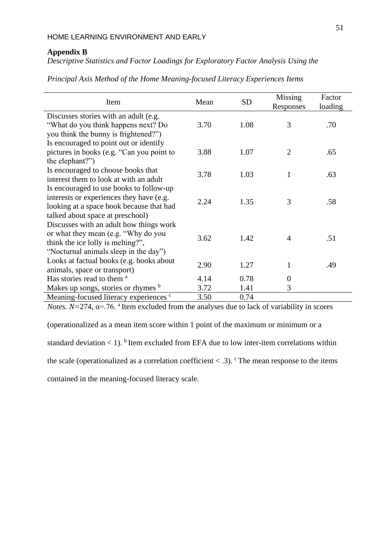# **Appendix B**

*Descriptive Statistics and Factor Loadings for Exploratory Factor Analysis Using the* 

| Item                                              | Mean | <b>SD</b> | Missing<br>Responses | Factor<br>loading |
|---------------------------------------------------|------|-----------|----------------------|-------------------|
| Discusses stories with an adult (e.g.             |      |           |                      |                   |
| "What do you think happens next? Do               | 3.70 | 1.08      | 3                    | .70               |
| you think the bunny is frightened?")              |      |           |                      |                   |
| Is encouraged to point out or identify            |      |           |                      |                   |
| pictures in books (e.g. "Can you point to         | 3.88 | 1.07      | $\overline{2}$       | .65               |
| the elephant?")                                   |      |           |                      |                   |
| Is encouraged to choose books that                | 3.78 | 1.03      | 1                    | .63               |
| interest them to look at with an adult            |      |           |                      |                   |
| Is encouraged to use books to follow-up           |      |           |                      |                   |
| interests or experiences they have (e.g.          | 2.24 | 1.35      | 3                    |                   |
| looking at a space book because that had          |      |           |                      | .58               |
| talked about space at preschool)                  |      |           |                      |                   |
| Discusses with an adult how things work           |      |           |                      |                   |
| or what they mean (e.g. "Why do you               |      |           |                      |                   |
| think the ice lolly is melting?",                 | 3.62 | 1.42      | $\overline{4}$       | .51               |
| "Nocturnal animals sleep in the day")             |      |           |                      |                   |
| Looks at factual books (e.g. books about          |      |           |                      |                   |
| animals, space or transport)                      | 2.90 | 1.27      | $\mathbf{1}$         | .49               |
| Has stories read to them <sup>a</sup>             | 4.14 | 0.78      | $\theta$             |                   |
| Makes up songs, stories or rhymes b               | 3.72 | 1.41      | 3                    |                   |
| Meaning-focused literacy experiences <sup>c</sup> | 3.50 | 0.74      |                      |                   |

*Principal Axis Method of the Home Meaning-focused Literacy Experiences Items* 

*Notes.*  $N=274$ ,  $\alpha = .76$ . <sup>a</sup>Item excluded from the analyses due to lack of variability in scores

(operationalized as a mean item score within 1 point of the maximum or minimum or a standard deviation  $\lt 1$ ). <sup>b</sup> Item excluded from EFA due to low inter-item correlations within the scale (operationalized as a correlation coefficient  $\lt$  .3). <sup>c</sup>The mean response to the items contained in the meaning-focused literacy scale.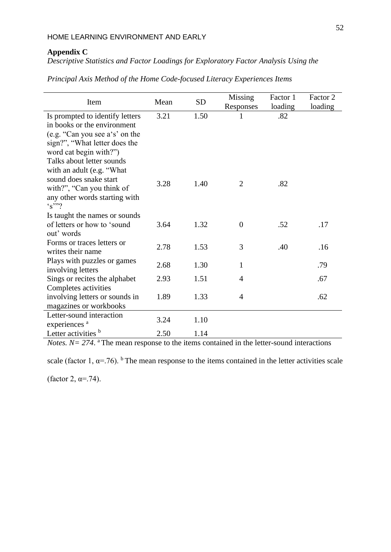# **Appendix C**

*Descriptive Statistics and Factor Loadings for Exploratory Factor Analysis Using the* 

|  | Principal Axis Method of the Home Code-focused Literacy Experiences Items |  |  |  |  |
|--|---------------------------------------------------------------------------|--|--|--|--|
|  |                                                                           |  |  |  |  |

| Item                                                                                                 | Mean | <b>SD</b> | Missing        | Factor 1 | Factor 2                                                  |  |
|------------------------------------------------------------------------------------------------------|------|-----------|----------------|----------|-----------------------------------------------------------|--|
|                                                                                                      |      |           | Responses      | loading  | loading                                                   |  |
| Is prompted to identify letters                                                                      | 3.21 | 1.50      |                | .82      |                                                           |  |
| in books or the environment                                                                          |      |           |                |          |                                                           |  |
| (e.g. "Can you see a's' on the                                                                       |      |           |                |          |                                                           |  |
| sign?", "What letter does the                                                                        |      |           |                |          |                                                           |  |
| word cat begin with?")                                                                               |      |           |                |          |                                                           |  |
| Talks about letter sounds<br>with an adult (e.g. "What                                               |      |           |                |          |                                                           |  |
| sound does snake start                                                                               |      |           |                |          |                                                           |  |
| with?", "Can you think of                                                                            | 3.28 | 1.40      | 2              | .82      |                                                           |  |
| any other words starting with                                                                        |      |           |                |          |                                                           |  |
| $\cdot$ s''?                                                                                         |      |           |                |          |                                                           |  |
| Is taught the names or sounds                                                                        |      |           |                |          |                                                           |  |
| of letters or how to 'sound                                                                          | 3.64 | 1.32      | $\overline{0}$ | .52      | .17                                                       |  |
| out' words                                                                                           |      |           |                |          |                                                           |  |
| Forms or traces letters or                                                                           | 2.78 | 1.53      | 3              | .40      | .16                                                       |  |
| writes their name                                                                                    |      |           |                |          |                                                           |  |
| Plays with puzzles or games                                                                          | 2.68 | 1.30      | $\mathbf{1}$   |          | .79                                                       |  |
| involving letters<br>Sings or recites the alphabet                                                   | 2.93 | 1.51      | $\overline{4}$ |          | .67                                                       |  |
| Completes activities                                                                                 |      |           |                |          |                                                           |  |
| involving letters or sounds in                                                                       | 1.89 | 1.33      | $\overline{4}$ |          | .62                                                       |  |
| magazines or workbooks                                                                               |      |           |                |          |                                                           |  |
| Letter-sound interaction                                                                             |      |           |                |          |                                                           |  |
| experiences <sup>a</sup>                                                                             | 3.24 | 1.10      |                |          |                                                           |  |
| Letter activities b<br>$\mathbf{M}$ $\mathbf{M}$ $\mathbf{M}$ $\mathbf{A}$ $\mathbf{A}$ $\mathbf{M}$ | 2.50 | 1.14      |                |          | $\mathbf{r}$ , $\mathbf{r}$ , $\mathbf{r}$ , $\mathbf{r}$ |  |

*Notes.*  $N = 274$ . <sup>a</sup> The mean response to the items contained in the letter-sound interactions

scale (factor 1,  $\alpha$ =.76). <sup>b</sup>The mean response to the items contained in the letter activities scale

(factor 2,  $\alpha = .74$ ).